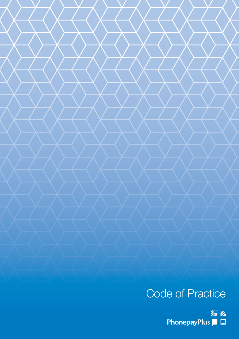# Code of Practice

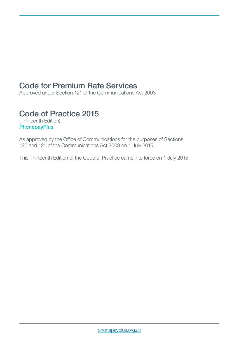# Code for Premium Rate Services

Approved under Section 121 of the Communications Act 2003

# Code of Practice 2015

(Thirteenth Edition) **PhonepayPlus** 

As approved by the Office of Communications for the purposes of Sections 120 and 121 of the Communications Act 2003 on 1 July 2015

This Thirteenth Edition of the Code of Practice came into force on 1 July 2015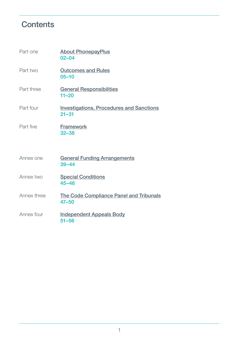# <span id="page-2-0"></span>**Contents**

| Part one    | <b>About PhonepayPlus</b><br>$02 - 04$                       |
|-------------|--------------------------------------------------------------|
| Part two    | <b>Outcomes and Rules</b><br>$05 - 10$                       |
| Part three  | <b>General Responsibilities</b><br>$11 - 20$                 |
| Part four   | <b>Investigations, Procedures and Sanctions</b><br>$21 - 31$ |
| Part five   | <b>Framework</b><br>$32 - 38$                                |
| Annex one   | <b>General Funding Arrangements</b><br>$39 - 44$             |
| Annex two   | <b>Special Conditions</b><br>$45 - 46$                       |
| Annex three | The Code Compliance Panel and Tribunals<br>$47 - 50$         |
| Annex four  | <b>Independent Appeals Body</b><br>$51 - 56$                 |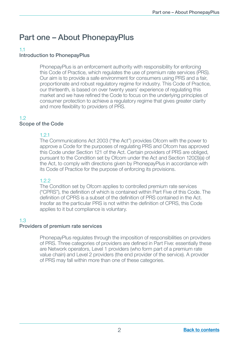# <span id="page-3-0"></span>Part one – About PhonepayPlus

### 1.1

# Introduction to PhonepayPlus

 PhonepayPlus is an enforcement authority with responsibility for enforcing this Code of Practice, which regulates the use of premium rate services (PRS). Our aim is to provide a safe environment for consumers using PRS and a fair, proportionate and robust regulatory regime for industry. This Code of Practice, our thirteenth, is based on over twenty years' experience of regulating this market and we have refined the Code to focus on the underlying principles of consumer protection to achieve a regulatory regime that gives greater clarity and more flexibility to providers of PRS.

# 1.2

# Scope of the Code

# 1.2.1

 The Communications Act 2003 ("the Act") provides Ofcom with the power to approve a Code for the purposes of regulating PRS and Ofcom has approved this Code under Section 121 of the Act. Certain providers of PRS are obliged, pursuant to the Condition set by Ofcom under the Act and Section 120(3)(a) of the Act, to comply with directions given by PhonepayPlus in accordance with its Code of Practice for the purpose of enforcing its provisions.

#### 122

 The Condition set by Ofcom applies to controlled premium rate services ("CPRS"), the definition of which is contained within Part Five of this Code. The definition of CPRS is a subset of the definition of PRS contained in the Act. Insofar as the particular PRS is not within the definition of CPRS, this Code applies to it but compliance is voluntary.

# 1.3

#### Providers of premium rate services

 PhonepayPlus regulates through the imposition of responsibilities on providers of PRS. Three categories of providers are defined in Part Five: essentially these are Network operators, Level 1 providers (who form part of a premium rate value chain) and Level 2 providers (the end provider of the service). A provider of PRS may fall within more than one of these categories.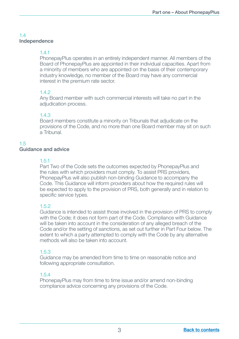# 1.4 Independence

# 1.4.1

 PhonepayPlus operates in an entirely independent manner. All members of the Board of PhonepayPlus are appointed in their individual capacities. Apart from a minority of members who are appointed on the basis of their contemporary industry knowledge, no member of the Board may have any commercial interest in the premium rate sector.

# 1.4.2

 Any Board member with such commercial interests will take no part in the adjudication process.

# 1.4.3

Board members constitute a minority on Tribunals that adjudicate on the provisions of the Code, and no more than one Board member may sit on such a Tribunal.

# 1.5

#### Guidance and advice

#### 1.5.1

 Part Two of the Code sets the outcomes expected by PhonepayPlus and the rules with which providers must comply. To assist PRS providers, PhonepayPlus will also publish non-binding Guidance to accompany the Code. This Guidance will inform providers about how the required rules will be expected to apply to the provision of PRS, both generally and in relation to specific service types.

# 1.5.2

Guidance is intended to assist those involved in the provision of PRS to comply with the Code; it does not form part of the Code. Compliance with Guidance will be taken into account in the consideration of any alleged breach of the Code and/or the setting of sanctions, as set out further in Part Four below. The extent to which a party attempted to comply with the Code by any alternative methods will also be taken into account.

# 1.5.3

Guidance may be amended from time to time on reasonable notice and following appropriate consultation.

# 1.5.4

PhonepayPlus may from time to time issue and/or amend non-binding compliance advice concerning any provisions of the Code.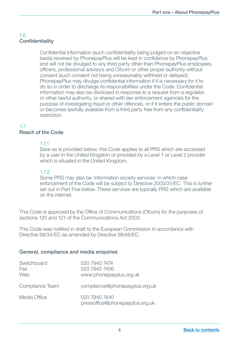# 1.6 **Confidentiality**

Confidential information (such confidentiality being judged on an objective basis) received by PhonepayPlus will be kept in confidence by PhonepayPlus and will not be divulged to any third party other than PhonepayPlus employees, officers, professional advisors and Ofcom or other proper authority without consent (such consent not being unreasonably withheld or delayed). PhonepayPlus may divulge confidential information if it is necessary for it to do so in order to discharge its responsibilities under the Code. Confidential information may also be disclosed in response to a request from a regulator or other lawful authority, or shared with law enforcement agencies for the purpose of investigating fraud or other offences, or if it enters the public domain or becomes lawfully available from a third party free from any confidentiality restriction.

# 1.7

#### Reach of the Code

# 1.7.1

 Save as is provided below, this Code applies to all PRS which are accessed by a user in the United Kingdom or provided by a Level 1 or Level 2 provider which is situated in the United Kingdom.

# 172

Some PRS may also be 'information society services' in which case enforcement of the Code will be subject to Directive 2000/31/EC. This is further set out in Part Five below. These services are typically PRS which are available on the internet.

This Code is approved by the Office of Communications (Ofcom) for the purposes of sections 120 and 121 of the Communications Act 2003.

This Code was notified in draft to the European Commission in accordance with Directive 98/34/EC as amended by Directive 98/48/EC.

#### General, compliance and media enquiries

| Switchboard<br>Fax<br>Web | 020 7940 7474<br>020 7940 7456<br>www.phonepayplus.org.uk |
|---------------------------|-----------------------------------------------------------|
| Compliance Team           | compliance@phonepayplus.org.uk                            |
| Media Office              | 020 7940 7440<br>pressoffice@phonepayplus.org.uk          |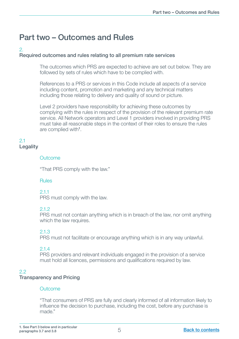# <span id="page-6-0"></span>Part two – Outcomes and Rules

# 2.

# Required outcomes and rules relating to all premium rate services

 The outcomes which PRS are expected to achieve are set out below. They are followed by sets of rules which have to be complied with.

 References to a PRS or services in this Code include all aspects of a service including content, promotion and marketing and any technical matters including those relating to delivery and quality of sound or picture.

 Level 2 providers have responsibility for achieving these outcomes by complying with the rules in respect of the provision of the relevant premium rate service. All Network operators and Level 1 providers involved in providing PRS must take all reasonable steps in the context of their roles to ensure the rules are complied with<sup>1</sup> .

#### 2.1 **Legality**

#### **Outcome**

"That PRS comply with the law."

#### Rules

2.1.1

PRS must comply with the law.

#### $21.2$

 PRS must not contain anything which is in breach of the law, nor omit anything which the law requires.

#### 2.1.3

PRS must not facilitate or encourage anything which is in any way unlawful.

#### 2.1.4

PRS providers and relevant individuals engaged in the provision of a service must hold all licences, permissions and qualifications required by law.

# $2.2<sub>2</sub>$

#### Transparency and Pricing

#### **Outcome**

 "That consumers of PRS are fully and clearly informed of all information likely to influence the decision to purchase, including the cost, before any purchase is made."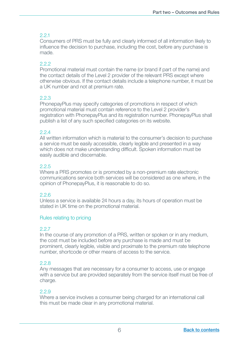Consumers of PRS must be fully and clearly informed of all information likely to influence the decision to purchase, including the cost, before any purchase is made.

# 22

 Promotional material must contain the name (or brand if part of the name) and the contact details of the Level 2 provider of the relevant PRS except where otherwise obvious. If the contact details include a telephone number, it must be a UK number and not at premium rate.

#### 2.2.3

 PhonepayPlus may specify categories of promotions in respect of which promotional material must contain reference to the Level 2 provider's registration with PhonepayPlus and its registration number. PhonepayPlus shall publish a list of any such specified categories on its website.

#### $22<sub>4</sub>$

 All written information which is material to the consumer's decision to purchase a service must be easily accessible, clearly legible and presented in a way which does not make understanding difficult. Spoken information must be easily audible and discernable.

# 2.2.5

 Where a PRS promotes or is promoted by a non-premium rate electronic communications service both services will be considered as one where, in the opinion of PhonepayPlus, it is reasonable to do so.

#### 2.2.6

 Unless a service is available 24 hours a day, its hours of operation must be stated in UK time on the promotional material.

#### Rules relating to pricing

#### 2.2.7

 In the course of any promotion of a PRS, written or spoken or in any medium, the cost must be included before any purchase is made and must be prominent, clearly legible, visible and proximate to the premium rate telephone number, shortcode or other means of access to the service.

#### 228

 Any messages that are necessary for a consumer to access, use or engage with a service but are provided separately from the service itself must be free of charge.

# 2.2.9

 Where a service involves a consumer being charged for an international call this must be made clear in any promotional material.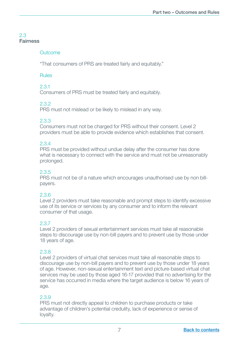# 2.3 Fairness

#### **Outcome**

"That consumers of PRS are treated fairly and equitably."

#### Rules

#### 2.3.1

Consumers of PRS must be treated fairly and equitably.

#### 2.3.2

PRS must not mislead or be likely to mislead in any way.

#### 2.3.3

 Consumers must not be charged for PRS without their consent. Level 2 providers must be able to provide evidence which establishes that consent.

#### 2.3.4

 PRS must be provided without undue delay after the consumer has done what is necessary to connect with the service and must not be unreasonably prolonged.

### 2.3.5

 PRS must not be of a nature which encourages unauthorised use by non billpayers.

#### 2.3.6

 Level 2 providers must take reasonable and prompt steps to identify excessive use of its service or services by any consumer and to inform the relevant consumer of that usage.

#### 2.3.7

 Level 2 providers of sexual entertainment services must take all reasonable steps to discourage use by non-bill payers and to prevent use by those under 18 years of age.

#### 2.3.8

 Level 2 providers of virtual chat services must take all reasonable steps to discourage use by non-bill payers and to prevent use by those under 18 years of age. However, non-sexual entertainment text and picture-based virtual chat services may be used by those aged 16-17 provided that no advertising for the service has occurred in media where the target audience is below 16 years of age.

#### 2.3.9

 PRS must not directly appeal to children to purchase products or take advantage of children's potential credulity, lack of experience or sense of loyalty.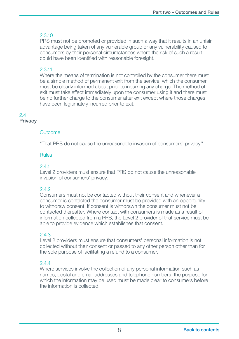PRS must not be promoted or provided in such a way that it results in an unfair advantage being taken of any vulnerable group or any vulnerability caused to consumers by their personal circumstances where the risk of such a result could have been identified with reasonable foresight.

#### 2.3.11

 Where the means of termination is not controlled by the consumer there must be a simple method of permanent exit from the service, which the consumer must be clearly informed about prior to incurring any charge. The method of exit must take effect immediately upon the consumer using it and there must be no further charge to the consumer after exit except where those charges have been legitimately incurred prior to exit.

#### 2.4 Privacy

#### **Outcome**

"That PRS do not cause the unreasonable invasion of consumers' privacy."

#### Rules

### 2.4.1

 Level 2 providers must ensure that PRS do not cause the unreasonable invasion of consumers' privacy.

#### $212$

 Consumers must not be contacted without their consent and whenever a consumer is contacted the consumer must be provided with an opportunity to withdraw consent. If consent is withdrawn the consumer must not be contacted thereafter. Where contact with consumers is made as a result of information collected from a PRS, the Level 2 provider of that service must be able to provide evidence which establishes that consent.

#### 2.4.3

 Level 2 providers must ensure that consumers' personal information is not collected without their consent or passed to any other person other than for the sole purpose of facilitating a refund to a consumer.

#### $244$

 Where services involve the collection of any personal information such as names, postal and email addresses and telephone numbers, the purpose for which the information may be used must be made clear to consumers before the information is collected.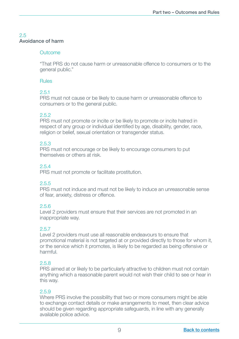# 2.5 Avoidance of harm

#### Outcome

"That PRS do not cause harm or unreasonable offence to consumers or to the general public."

#### Rules

#### 2.5.1

PRS must not cause or be likely to cause harm or unreasonable offence to consumers or to the general public.

#### 2.5.2

 PRS must not promote or incite or be likely to promote or incite hatred in respect of any group or individual identified by age, disability, gender, race, religion or belief, sexual orientation or transgender status.

#### 2.5.3

 PRS must not encourage or be likely to encourage consumers to put themselves or others at risk.

# 2.5.4

PRS must not promote or facilitate prostitution.

#### 2.5.5

 PRS must not induce and must not be likely to induce an unreasonable sense of fear, anxiety, distress or offence.

#### 2.5.6

 Level 2 providers must ensure that their services are not promoted in an inappropriate way.

#### 2.5.7

 Level 2 providers must use all reasonable endeavours to ensure that promotional material is not targeted at or provided directly to those for whom it, or the service which it promotes, is likely to be regarded as being offensive or harmful.

#### 2.5.8

 PRS aimed at or likely to be particularly attractive to children must not contain anything which a reasonable parent would not wish their child to see or hear in this way.

#### 2.5.9

 Where PRS involve the possibility that two or more consumers might be able to exchange contact details or make arrangements to meet, then clear advice should be given regarding appropriate safeguards, in line with any generally available police advice.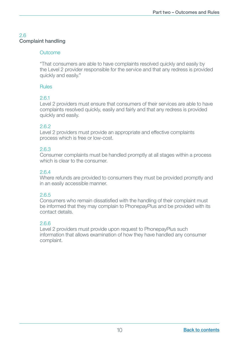# 2.6 Complaint handling

#### **Outcome**

 "That consumers are able to have complaints resolved quickly and easily by the Level 2 provider responsible for the service and that any redress is provided quickly and easily."

#### Rules

#### 2.6.1

Level 2 providers must ensure that consumers of their services are able to have complaints resolved quickly, easily and fairly and that any redress is provided quickly and easily.

#### 2.6.2

Level 2 providers must provide an appropriate and effective complaints process which is free or low-cost.

#### 2.6.3

Consumer complaints must be handled promptly at all stages within a process which is clear to the consumer.

# 2.6.4

Where refunds are provided to consumers they must be provided promptly and in an easily accessible manner.

# 2.6.5

Consumers who remain dissatisfied with the handling of their complaint must be informed that they may complain to PhonepayPlus and be provided with its contact details.

#### 2.6.6

Level 2 providers must provide upon request to PhonepayPlus such information that allows examination of how they have handled any consumer complaint.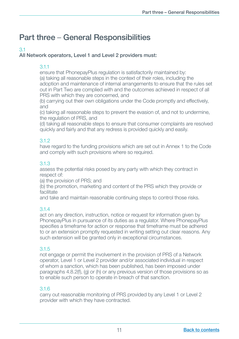# <span id="page-12-0"></span>Part three – General Responsibilities

# 3.1

### All Network operators, Level 1 and Level 2 providers must:

### 3.1.1

ensure that PhonepayPlus regulation is satisfactorily maintained by: (a) taking all reasonable steps in the context of their roles, including the

adoption and maintenance of internal arrangements to ensure that the rules set out in Part Two are complied with and the outcomes achieved in respect of all PRS with which they are concerned, and

(b) carrying out their own obligations under the Code promptly and effectively, and

 (c) taking all reasonable steps to prevent the evasion of, and not to undermine, the regulation of PRS, and

 (d) taking all reasonable steps to ensure that consumer complaints are resolved quickly and fairly and that any redress is provided quickly and easily.

# 3.1.2

have regard to the funding provisions which are set out in Annex 1 to the Code and comply with such provisions where so required.

# 3.1.3

assess the potential risks posed by any party with which they contract in respect of:

(a) the provision of PRS; and

 (b) the promotion, marketing and content of the PRS which they provide or facilitate

and take and maintain reasonable continuing steps to control those risks.

# 3.1.4

act on any direction, instruction, notice or request for information given by PhonepayPlus in pursuance of its duties as a regulator. Where PhonepayPlus specifies a timeframe for action or response that timeframe must be adhered to or an extension promptly requested in writing setting out clear reasons. Any such extension will be granted only in exceptional circumstances.

#### 3.1.5

not engage or permit the involvement in the provision of PRS of a Network operator, Level 1 or Level 2 provider and/or associated individual in respect of whom a sanction, which has been published, has been imposed under paragraphs 4.8.2(f), (g) or (h) or any previous version of those provisions so as to enable such person to operate in breach of that sanction.

#### 3.1.6

carry out reasonable monitoring of PRS provided by any Level 1 or Level 2 provider with which they have contracted.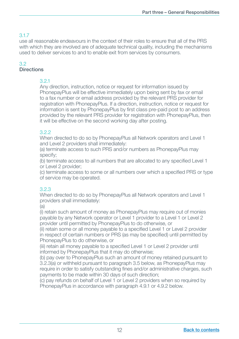# 3.1.7

use all reasonable endeavours in the context of their roles to ensure that all of the PRS with which they are involved are of adequate technical quality, including the mechanisms used to deliver services to and to enable exit from services by consumers.

# 3.2

# **Directions**

# 3.2.1

Any direction, instruction, notice or request for information issued by PhonepayPlus will be effective immediately upon being sent by fax or email to a fax number or email address provided by the relevant PRS provider for registration with PhonepayPlus. If a direction, instruction, notice or request for information is sent by PhonepayPlus by first class pre-paid post to an address provided by the relevant PRS provider for registration with PhonepayPlus, then it will be effective on the second working day after posting.

# 3.2.2

When directed to do so by PhonepayPlus all Network operators and Level 1 and Level 2 providers shall immediately:

 (a) terminate access to such PRS and/or numbers as PhonepayPlus may specify;

(b) terminate access to all numbers that are allocated to any specified Level 1 or Level 2 provider;

(c) terminate access to some or all numbers over which a specified PRS or type of service may be operated.

# 3.2.3

When directed to do so by PhonepayPlus all Network operators and Level 1 providers shall immediately:

 $(a)$ 

 (i) retain such amount of money as PhonepayPlus may require out of monies payable by any Network operator or Level 1 provider to a Level 1 or Level 2 provider until permitted by PhonepayPlus to do otherwise, or

(ii) retain some or all money payable to a specified Level 1 or Level 2 provider in respect of certain numbers or PRS (as may be specified) until permitted by PhonepayPlus to do otherwise, or

(iii) retain all money payable to a specified Level 1 or Level 2 provider until informed by PhonepayPlus that it may do otherwise;

 (b) pay over to PhonepayPlus such an amount of money retained pursuant to 3.2.3(a) or withheld pursuant to paragraph 3.5 below, as PhonepayPlus may require in order to satisfy outstanding fines and/or administrative charges, such payments to be made within 30 days of such direction;

 (c) pay refunds on behalf of Level 1 or Level 2 providers when so required by PhonepayPlus in accordance with paragraph 4.9.1 or 4.9.2 below.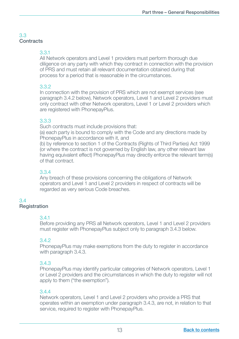# 3.3 **Contracts**

# 3.3.1

All Network operators and Level 1 providers must perform thorough due diligence on any party with which they contract in connection with the provision of PRS and must retain all relevant documentation obtained during that process for a period that is reasonable in the circumstances.

# 3.3.2

In connection with the provision of PRS which are not exempt services (see paragraph 3.4.2 below), Network operators, Level 1 and Level 2 providers must only contract with other Network operators, Level 1 or Level 2 providers which are registered with PhonepayPlus.

#### 3.3.3

Such contracts must include provisions that:

 (a) each party is bound to comply with the Code and any directions made by PhonepayPlus in accordance with it, and

 (b) by reference to section 1 of the Contracts (Rights of Third Parties) Act 1999 (or where the contract is not governed by English law, any other relevant law having equivalent effect) PhonepayPlus may directly enforce the relevant term(s) of that contract.

# 3.3.4

Any breach of these provisions concerning the obligations of Network operators and Level 1 and Level 2 providers in respect of contracts will be regarded as very serious Code breaches.

#### 3.4 **Registration**

#### 3.4.1

Before providing any PRS all Network operators, Level 1 and Level 2 providers must register with PhonepayPlus subject only to paragraph 3.4.3 below.

#### 3.4.2

PhonepayPlus may make exemptions from the duty to register in accordance with paragraph 3.4.3.

#### 3.4.3

PhonepayPlus may identify particular categories of Network operators, Level 1 or Level 2 providers and the circumstances in which the duty to register will not apply to them ("the exemption").

### 3.4.4

Network operators, Level 1 and Level 2 providers who provide a PRS that operates within an exemption under paragraph 3.4.3, are not, in relation to that service, required to register with PhonepayPlus.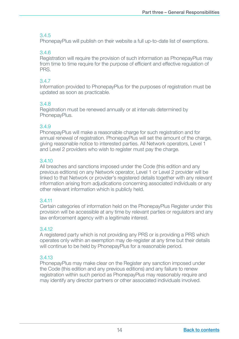# 3.4.5

PhonepayPlus will publish on their website a full up-to-date list of exemptions.

# 3.4.6

Registration will require the provision of such information as PhonepayPlus may from time to time require for the purpose of efficient and effective regulation of PRS.

### 3.4.7

Information provided to PhonepayPlus for the purposes of registration must be updated as soon as practicable.

# 3.4.8

Registration must be renewed annually or at intervals determined by PhonepayPlus.

### 3.4.9

PhonepayPlus will make a reasonable charge for such registration and for annual renewal of registration. PhonepayPlus will set the amount of the charge, giving reasonable notice to interested parties. All Network operators, Level 1 and Level 2 providers who wish to register must pay the charge.

# 3.4.10

All breaches and sanctions imposed under the Code (this edition and any previous editions) on any Network operator, Level 1 or Level 2 provider will be linked to that Network or provider's registered details together with any relevant information arising from adjudications concerning associated individuals or any other relevant information which is publicly held.

# 3.4.11

Certain categories of information held on the PhonepayPlus Register under this provision will be accessible at any time by relevant parties or regulators and any law enforcement agency with a legitimate interest.

#### 3.4.12

A registered party which is not providing any PRS or is providing a PRS which operates only within an exemption may de-register at any time but their details will continue to be held by PhonepayPlus for a reasonable period.

# 3.4.13

PhonepayPlus may make clear on the Register any sanction imposed under the Code (this edition and any previous editions) and any failure to renew registration within such period as PhonepayPlus may reasonably require and may identify any director partners or other associated individuals involved.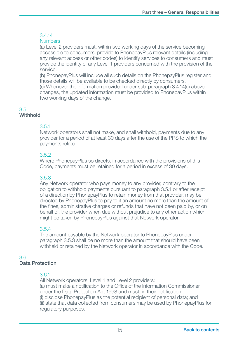### 3.4.14

#### Numbers

 (a) Level 2 providers must, within two working days of the service becoming accessible to consumers, provide to PhonepayPlus relevant details (including any relevant access or other codes) to identify services to consumers and must provide the identity of any Level 1 providers concerned with the provision of the service.

 (b) PhonepayPlus will include all such details on the PhonepayPlus register and those details will be available to be checked directly by consumers. (c) Whenever the information provided under sub-paragraph 3.4.14(a) above changes, the updated information must be provided to PhonepayPlus within two working days of the change.

#### 3.5 Withhold

# 3.5.1

Network operators shall not make, and shall withhold, payments due to any provider for a period of at least 30 days after the use of the PRS to which the payments relate.

# 3.5.2

Where PhonepayPlus so directs, in accordance with the provisions of this Code, payments must be retained for a period in excess of 30 days.

# 3.5.3

Any Network operator who pays money to any provider, contrary to the obligation to withhold payments pursuant to paragraph 3.5.1 or after receipt of a direction by PhonepayPlus to retain money from that provider, may be directed by PhonepayPlus to pay to it an amount no more than the amount of the fines, administrative charges or refunds that have not been paid by, or on behalf of, the provider when due without prejudice to any other action which might be taken by PhonepayPlus against that Network operator.

# 3.5.4

The amount payable by the Network operator to PhonepayPlus under paragraph 3.5.3 shall be no more than the amount that should have been withheld or retained by the Network operator in accordance with the Code.

#### 3.6 Data Protection

# 3.6.1

All Network operators, Level 1 and Level 2 providers: (a) must make a notification to the Office of the Information Commissioner under the Data Protection Act 1998 and must, in their notification: (i) disclose PhonepayPlus as the potential recipient of personal data; and (ii) state that data collected from consumers may be used by PhonepayPlus for regulatory purposes.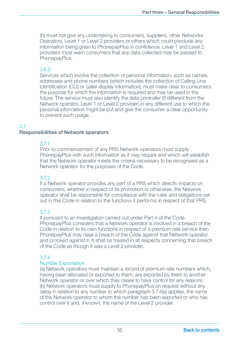(b) must not give any undertaking to consumers, suppliers, other Networks Operators, Level 1 or Level 2 providers or others which could preclude any information being given to PhonepayPlus in confidence. Level 1 and Level 2 providers must warn consumers that any data collected may be passed to PhonepayPlus.

#### 3.6.2

Services which involve the collection of personal information, such as names, addresses and phone numbers (which includes the collection of Calling Line Identification (CLI) or caller display information), must make clear to consumers the purpose for which the information is required and may be used in the future. The service must also identify the data controller (if different from the Network operator, Level 1 or Level 2 provider) in any different use to which the personal information might be put and give the consumer a clear opportunity to prevent such usage.

#### 3.7

#### Responsibilities of Network operators

#### 3.7.1

Prior to commencement of any PRS Network operators must supply PhonepayPlus with such information as it may require and which will establish that the Network operator meets the criteria necessary to be recognised as a Network operator for the purposes of the Code.

#### 3.7.2

If a Network operator provides any part of a PRS which directly impacts on consumers, whether in respect of its promotion or otherwise, the Network operator shall be responsible for compliance with the rules and obligations set out in this Code in relation to the functions it performs in respect of that PRS.

#### 3.7.3

If pursuant to an investigation carried out under Part 4 of the Code PhonepayPlus considers that a Network operator is involved in a breach of the Code in relation to its own functions in respect of a premium rate service then PhonepayPlus may raise a breach of the Code against that Network operator and proceed against it. It shall be treated in all respects concerning that breach of the Code as though it was a Level 2 provider.

#### 3.7.4

#### Number Exportation

 (a) Network operators must maintain a record of premium rate numbers which, having been allocated or exported to them, are exported by them to another Network operator or over which they cease to have control for any reasons. (b) Network operators must supply to PhonepayPlus on request without any delay in relation to any number to which paragraph 3.7.4(a) applies, the name of the Network operator to whom the number has been exported or who has control over it and, if known, the name of the Level 2 provider.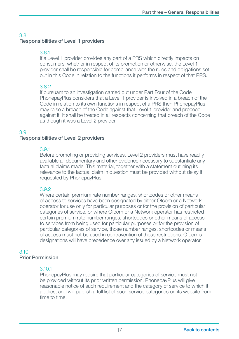# Responsibilities of Level 1 providers

# 3.8.1

If a Level 1 provider provides any part of a PRS which directly impacts on consumers, whether in respect of its promotion or otherwise, the Level 1 provider shall be responsible for compliance with the rules and obligations set out in this Code in relation to the functions it performs in respect of that PRS.

# 3.8.2

If pursuant to an investigation carried out under Part Four of the Code PhonepayPlus considers that a Level 1 provider is involved in a breach of the Code in relation to its own functions in respect of a PRS then PhonepayPlus may raise a breach of the Code against that Level 1 provider and proceed against it. It shall be treated in all respects concerning that breach of the Code as though it was a Level 2 provider.

# 3.9

# Responsibilities of Level 2 providers

# 3.9.1

Before promoting or providing services, Level 2 providers must have readily available all documentary and other evidence necessary to substantiate any factual claims made. This material, together with a statement outlining its relevance to the factual claim in question must be provided without delay if requested by PhonepayPlus.

# 3.9.2

Where certain premium rate number ranges, shortcodes or other means of access to services have been designated by either Ofcom or a Network operator for use only for particular purposes or for the provision of particular categories of service, or where Ofcom or a Network operator has restricted certain premium rate number ranges, shortcodes or other means of access to services from being used for particular purposes or for the provision of particular categories of service, those number ranges, shortcodes or means of access must not be used in contravention of these restrictions. Ofcom's designations will have precedence over any issued by a Network operator.

#### 3.10 Prior Permission

# 3.10.1

PhonepayPlus may require that particular categories of service must not be provided without its prior written permission. PhonepayPlus will give reasonable notice of such requirement and the category of service to which it applies, and will publish a full list of such service categories on its website from time to time.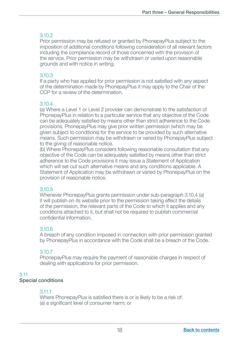#### 3.10.2

Prior permission may be refused or granted by PhonepayPlus subject to the imposition of additional conditions following consideration of all relevant factors including the compliance record of those concerned with the provision of the service. Prior permission may be withdrawn or varied upon reasonable grounds and with notice in writing.

#### 3.10.3

If a party who has applied for prior permission is not satisfied with any aspect of the determination made by PhonepayPlus it may apply to the Chair of the CCP for a review of the determination.

#### 3.10.4

(a) Where a Level 1 or Level 2 provider can demonstrate to the satisfaction of PhonepayPlus in relation to a particular service that any objective of the Code can be adequately satisfied by means other than strict adherence to the Code provisions, PhonepayPlus may give prior written permission (which may be given subject to conditions) for the service to be provided by such alternative means. Such permission may be withdrawn or varied by PhonepayPlus subject to the giving of reasonable notice.

 (b) Where PhonepayPlus considers following reasonable consultation that any objective of the Code can be adequately satisfied by means other than strict adherence to the Code provisions it may issue a Statement of Application which will set out such alternative means and any conditions applicable. A Statement of Application may be withdrawn or varied by PhonepayPlus on the provision of reasonable notice.

#### 3.10.5

Whenever PhonepayPlus grants permission under sub-paragraph 3.10.4 (a) it will publish on its website prior to the permission taking effect the details of the permission, the relevant parts of the Code to which it applies and any conditions attached to it, but shall not be required to publish commercial confidential information.

#### 3.10.6

A breach of any condition imposed in connection with prior permission granted by PhonepayPlus in accordance with the Code shall be a breach of the Code.

#### 3.10.7

PhonepayPlus may require the payment of reasonable charges in respect of dealing with applications for prior permission.

#### 3.11

#### Special conditions

#### 3.11.1

Where PhonepayPlus is satisfied there is or is likely to be a risk of: (a) a significant level of consumer harm; or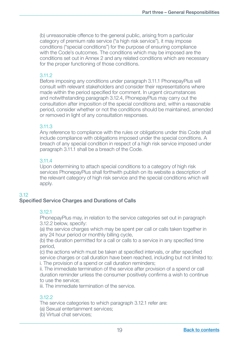(b) unreasonable offence to the general public, arising from a particular category of premium rate service ("a high risk service"), it may impose conditions ("special conditions") for the purpose of ensuring compliance with the Code's outcomes. The conditions which may be imposed are the conditions set out in Annex 2 and any related conditions which are necessary for the proper functioning of those conditions.

#### 3.11.2

Before imposing any conditions under paragraph 3.11.1 PhonepayPlus will consult with relevant stakeholders and consider their representations where made within the period specified for comment. In urgent circumstances and notwithstanding paragraph 3.12.4, PhonepayPlus may carry out the consultation after imposition of the special conditions and, within a reasonable period, consider whether or not the conditions should be maintained, amended or removed in light of any consultation responses.

#### 3.11.3

Any reference to compliance with the rules or obligations under this Code shall include compliance with obligations imposed under the special conditions. A breach of any special condition in respect of a high risk service imposed under paragraph 3.11.1 shall be a breach of the Code.

#### 3.11.4

Upon determining to attach special conditions to a category of high risk services PhonepayPlus shall forthwith publish on its website a description of the relevant category of high risk service and the special conditions which will apply.

#### 3.12

#### Specified Service Charges and Durations of Calls

#### 3.12.1

PhonepayPlus may, in relation to the service categories set out in paragraph 3.12.2 below, specify:

 (a) the service charges which may be spent per call or calls taken together in any 24 hour period or monthly billing cycle,

(b) the duration permitted for a call or calls to a service in any specified time period,

(c) the actions which must be taken at specified intervals, or after specified service charges or call duration have been reached, including but not limited to: i. The provision of a spend or call duration reminders;

 ii. The immediate termination of the service after provision of a spend or call duration reminder unless the consumer positively confirms a wish to continue to use the service;

iii. The immediate termination of the service.

#### 3.12.2

The service categories to which paragraph 3.12.1 refer are:

(a) Sexual entertainment services;

(b) Virtual chat services;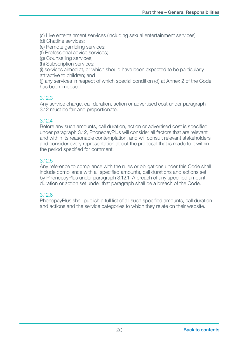(c) Live entertainment services (including sexual entertainment services);

(d) Chatline services;

(e) Remote gambling services;

(f) Professional advice services;

(g) Counselling services;

(h) Subscription services;

 (i) services aimed at, or which should have been expected to be particularly attractive to children; and

 (j) any services in respect of which special condition (d) at Annex 2 of the Code has been imposed.

#### 3.12.3

Any service charge, call duration, action or advertised cost under paragraph 3.12 must be fair and proportionate.

#### 3.12.4

Before any such amounts, call duration, action or advertised cost is specified under paragraph 3.12, PhonepayPlus will consider all factors that are relevant and within its reasonable contemplation, and will consult relevant stakeholders and consider every representation about the proposal that is made to it within the period specified for comment.

#### 3.12.5

Any reference to compliance with the rules or obligations under this Code shall include compliance with all specified amounts, call durations and actions set by PhonepayPlus under paragraph 3.12.1. A breach of any specified amount, duration or action set under that paragraph shall be a breach of the Code.

#### 3.12.6

PhonepayPlus shall publish a full list of all such specified amounts, call duration and actions and the service categories to which they relate on their website.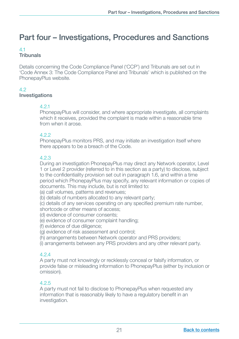# <span id="page-22-0"></span>Part four – Investigations, Procedures and Sanctions

#### 4.1 Tribunals

Details concerning the Code Compliance Panel ('CCP') and Tribunals are set out in 'Code Annex 3: The Code Compliance Panel and Tribunals' which is published on the PhonepayPlus website.

#### 4.2 **Investigations**

#### 4.2.1

PhonepayPlus will consider, and where appropriate investigate, all complaints which it receives, provided the complaint is made within a reasonable time from when it arose.

#### 422

PhonepayPlus monitors PRS, and may initiate an investigation itself where there appears to be a breach of the Code.

#### 4.2.3

During an investigation PhonepayPlus may direct any Network operator, Level 1 or Level 2 provider (referred to in this section as a party) to disclose, subject to the confidentiality provision set out in paragraph 1.6, and within a time period which PhonepayPlus may specify, any relevant information or copies of documents. This may include, but is not limited to:

(a) call volumes, patterns and revenues;

(b) details of numbers allocated to any relevant party;

(c) details of any services operating on any specified premium rate number, shortcode or other means of access;

- (d) evidence of consumer consents;
- (e) evidence of consumer complaint handling;
- (f) evidence of due diligence;

(g) evidence of risk assessment and control;

(h) arrangements between Network operator and PRS providers;

(i) arrangements between any PRS providers and any other relevant party.

#### 4.2.4

A party must not knowingly or recklessly conceal or falsify information, or provide false or misleading information to PhonepayPlus (either by inclusion or omission).

#### 4.2.5

A party must not fail to disclose to PhonepayPlus when requested any information that is reasonably likely to have a regulatory benefit in an investigation.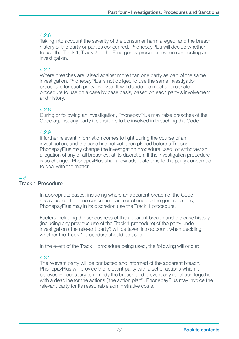# 4.2.6

Taking into account the severity of the consumer harm alleged, and the breach history of the party or parties concerned, PhonepayPlus will decide whether to use the Track 1, Track 2 or the Emergency procedure when conducting an investigation.

# 4.2.7

Where breaches are raised against more than one party as part of the same investigation, PhonepayPlus is not obliged to use the same investigation procedure for each party involved. It will decide the most appropriate procedure to use on a case by case basis, based on each party's involvement and history.

# 4.2.8

During or following an investigation, PhonepayPlus may raise breaches of the Code against any party it considers to be involved in breaching the Code.

#### 4.2.9

If further relevant information comes to light during the course of an investigation, and the case has not yet been placed before a Tribunal, PhonepayPlus may change the investigation procedure used, or withdraw an allegation of any or all breaches, at its discretion. If the investigation procedure is so changed PhonepayPlus shall allow adequate time to the party concerned to deal with the matter.

#### 4.3 Track 1 Procedure

 In appropriate cases, including where an apparent breach of the Code has caused little or no consumer harm or offence to the general public, PhonepayPlus may in its discretion use the Track 1 procedure.

Factors including the seriousness of the apparent breach and the case history (including any previous use of the Track 1 procedure) of the party under investigation ('the relevant party') will be taken into account when deciding whether the Track 1 procedure should be used.

In the event of the Track 1 procedure being used, the following will occur:

# 4.3.1

The relevant party will be contacted and informed of the apparent breach. PhonepayPlus will provide the relevant party with a set of actions which it believes is necessary to remedy the breach and prevent any repetition together with a deadline for the actions ('the action plan'). PhonepayPlus may invoice the relevant party for its reasonable administrative costs.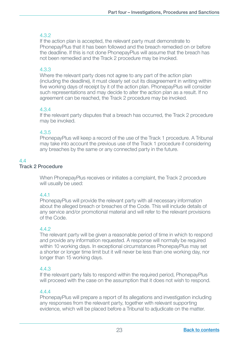If the action plan is accepted, the relevant party must demonstrate to PhonepayPlus that it has been followed and the breach remedied on or before the deadline. If this is not done PhonepayPlus will assume that the breach has not been remedied and the Track 2 procedure may be invoked.

# 4.3.3

Where the relevant party does not agree to any part of the action plan (including the deadline), it must clearly set out its disagreement in writing within five working days of receipt by it of the action plan. PhonepayPlus will consider such representations and may decide to alter the action plan as a result. If no agreement can be reached, the Track 2 procedure may be invoked.

# 4.3.4

If the relevant party disputes that a breach has occurred, the Track 2 procedure may be invoked.

# 4.3.5

PhonepayPlus will keep a record of the use of the Track 1 procedure. A Tribunal may take into account the previous use of the Track 1 procedure if considering any breaches by the same or any connected party in the future.

#### $44$ Track 2 Procedure

 When PhonepayPlus receives or initiates a complaint, the Track 2 procedure will usually be used:

# 4.4.1

PhonepayPlus will provide the relevant party with all necessary information about the alleged breach or breaches of the Code. This will include details of any service and/or promotional material and will refer to the relevant provisions of the Code.

#### 4.4.2

The relevant party will be given a reasonable period of time in which to respond and provide any information requested. A response will normally be required within 10 working days. In exceptional circumstances PhonepayPlus may set a shorter or longer time limit but it will never be less than one working day, nor longer than 15 working days.

# 4.4.3

If the relevant party fails to respond within the required period, PhonepayPlus will proceed with the case on the assumption that it does not wish to respond.

# 4.4.4

PhonepayPlus will prepare a report of its allegations and investigation including any responses from the relevant party, together with relevant supporting evidence, which will be placed before a Tribunal to adjudicate on the matter.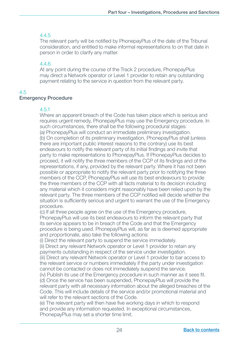# 4.4.5

The relevant party will be notified by PhonepayPlus of the date of the Tribunal consideration, and entitled to make informal representations to on that date in person in order to clarify any matter.

### 4.4.6

At any point during the course of the Track 2 procedure, PhonepayPlus may direct a Network operator or Level 1 provider to retain any outstanding payment relating to the service in question from the relevant party.

# 4.5

# Emergency Procedure

#### 4.5.1

Where an apparent breach of the Code has taken place which is serious and requires urgent remedy, PhonepayPlus may use the Emergency procedure. In such circumstances, there shall be the following procedural stages: (a) PhonepayPlus will conduct an immediate preliminary investigation. (b) On completion of its preliminary investigation, PhonepayPlus shall (unless there are important public interest reasons to the contrary) use its best endeavours to notify the relevant party of its initial findings and invite that party to make representations to PhonepayPlus. If PhonepayPlus decides to proceed, it will notify the three members of the CCP of its findings and of the representations, if any, provided by the relevant party. Where it has not been possible or appropriate to notify the relevant party prior to notifying the three members of the CCP, PhonepayPlus will use its best endeavours to provide the three members of the CCP with all facts material to its decision including any material which it considers might reasonably have been relied upon by the relevant party. The three members of the CCP notified will decide whether the situation is sufficiently serious and urgent to warrant the use of the Emergency procedure.

 (c) If all three people agree on the use of the Emergency procedure, PhonepayPlus will use its best endeavours to inform the relevant party that its service appears to be in breach of the Code and that the Emergency procedure is being used. PhonepayPlus will, as far as is deemed appropriate and proportionate, also take the following actions:

(i) Direct the relevant party to suspend the service immediately.

 (ii) Direct any relevant Network operator or Level 1 provider to retain any payments outstanding in respect of the service under investigation.

 (iii) Direct any relevant Network operator or Level 1 provider to bar access to the relevant service or numbers immediately if the party under investigation cannot be contacted or does not immediately suspend the service.

(iv) Publish its use of the Emergency procedure in such manner as it sees fit. (d) Once the service has been suspended, PhonepayPlus will provide the relevant party with all necessary information about the alleged breaches of the Code. This will include details of the service and/or promotional material and will refer to the relevant sections of the Code.

(e) The relevant party will then have five working days in which to respond and provide any information requested. In exceptional circumstances, PhonepayPlus may set a shorter time limit.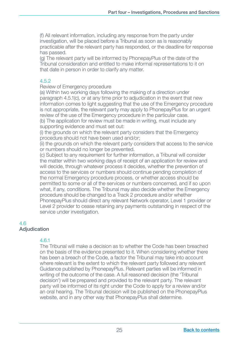(f) All relevant information, including any response from the party under investigation, will be placed before a Tribunal as soon as is reasonably practicable after the relevant party has responded, or the deadline for response has passed.

 (g) The relevant party will be informed by PhonepayPlus of the date of the Tribunal consideration and entitled to make informal representations to it on that date in person in order to clarify any matter.

#### 4.5.2

Review of Emergency procedure

 (a) Within two working days following the making of a direction under paragraph 4.5.1(c), or at any time prior to adjudication in the event that new information comes to light suggesting that the use of the Emergency procedure is not appropriate, the relevant party may apply to PhonepayPlus for an urgent review of the use of the Emergency procedure in the particular case.

 (b) The application for review must be made in writing, must include any supporting evidence and must set out:

 (i) the grounds on which the relevant party considers that the Emergency procedure should not have been used and/or;

 (ii) the grounds on which the relevant party considers that access to the service or numbers should no longer be prevented.

 (c) Subject to any requirement for further information, a Tribunal will consider the matter within two working days of receipt of an application for review and will decide, through whatever process it decides, whether the prevention of access to the services or numbers should continue pending completion of the normal Emergency procedure process, or whether access should be permitted to some or all of the services or numbers concerned, and if so upon what, if any, conditions. The Tribunal may also decide whether the Emergency procedure should be changed to a Track 2 procedure and/or whether PhonepayPlus should direct any relevant Network operator, Level 1 provider or Level 2 provider to cease retaining any payments outstanding in respect of the service under investigation.

#### 4.6 Adjudication

#### 4.6.1

The Tribunal will make a decision as to whether the Code has been breached on the basis of the evidence presented to it. When considering whether there has been a breach of the Code, a factor the Tribunal may take into account where relevant is the extent to which the relevant party followed any relevant Guidance published by PhonepayPlus. Relevant parties will be informed in writing of the outcome of the case. A full reasoned decision (the 'Tribunal decision') will be prepared and provided to the relevant party. The relevant party will be informed of its right under the Code to apply for a review and/or an oral hearing. The Tribunal decision will be published on the PhonepayPlus website, and in any other way that PhonepayPlus shall determine.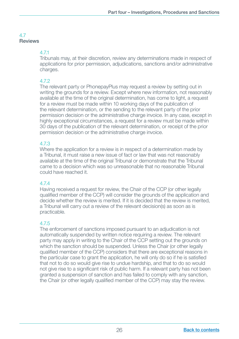# 4.7 Reviews

# 4.7.1

Tribunals may, at their discretion, review any determinations made in respect of applications for prior permission, adjudications, sanctions and/or administrative charges.

# 4.7.2

The relevant party or PhonepayPlus may request a review by setting out in writing the grounds for a review. Except where new information, not reasonably available at the time of the original determination, has come to light, a request for a review must be made within 10 working days of the publication of the relevant determination, or the sending to the relevant party of the prior permission decision or the administrative charge invoice. In any case, except in highly exceptional circumstances, a request for a review must be made within 30 days of the publication of the relevant determination, or receipt of the prior permission decision or the administrative charge invoice.

# 4.7.3

Where the application for a review is in respect of a determination made by a Tribunal, it must raise a new issue of fact or law that was not reasonably available at the time of the original Tribunal or demonstrate that the Tribunal came to a decision which was so unreasonable that no reasonable Tribunal could have reached it.

# 4.7.4

Having received a request for review, the Chair of the CCP (or other legally qualified member of the CCP) will consider the grounds of the application and decide whether the review is merited. If it is decided that the review is merited, a Tribunal will carry out a review of the relevant decision(s) as soon as is practicable.

# 4.7.5

The enforcement of sanctions imposed pursuant to an adjudication is not automatically suspended by written notice requiring a review. The relevant party may apply in writing to the Chair of the CCP setting out the grounds on which the sanction should be suspended. Unless the Chair (or other legally qualified member of the CCP) considers that there are exceptional reasons in the particular case to grant the application, he will only do so if he is satisfied that not to do so would give rise to undue hardship, and that to do so would not give rise to a significant risk of public harm. If a relevant party has not been granted a suspension of sanction and has failed to comply with any sanction, the Chair (or other legally qualified member of the CCP) may stay the review.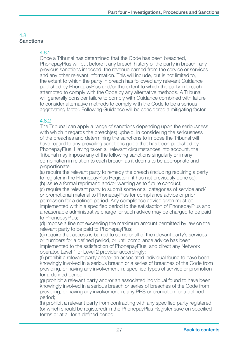# 4.8 **Sanctions**

#### 4.8.1

Once a Tribunal has determined that the Code has been breached, PhonepayPlus will put before it any breach history of the party in breach, any previous sanctions imposed, the revenue earned from the service or services and any other relevant information. This will include, but is not limited to, the extent to which the party in breach has followed any relevant Guidance published by PhonepayPlus and/or the extent to which the party in breach attempted to comply with the Code by any alternative methods. A Tribunal will generally consider failure to comply with Guidance combined with failure to consider alternative methods to comply with the Code to be a serious aggravating factor. Following Guidance will be considered a mitigating factor.

# 4.8.2

The Tribunal can apply a range of sanctions depending upon the seriousness with which it regards the breach(es) upheld. In considering the seriousness of the breaches and determining the sanctions to impose the Tribunal will have regard to any prevailing sanctions guide that has been published by PhonepayPlus. Having taken all relevant circumstances into account, the Tribunal may impose any of the following sanctions singularly or in any combination in relation to each breach as it deems to be appropriate and proportionate:

 (a) require the relevant party to remedy the breach (including requiring a party to register in the PhonepayPlus Register if it has not previously done so); (b) issue a formal reprimand and/or warning as to future conduct;

 (c) require the relevant party to submit some or all categories of service and/ or promotional material to PhonepayPlus for compliance advice or prior permission for a defined period. Any compliance advice given must be implemented within a specified period to the satisfaction of PhonepayPlus and a reasonable administrative charge for such advice may be charged to be paid to PhonepayPlus;

(d) impose a fine not exceeding the maximum amount permitted by law on the relevant party to be paid to PhonepayPlus;

 (e) require that access is barred to some or all of the relevant party's services or numbers for a defined period, or until compliance advice has been implemented to the satisfaction of PhonepayPlus, and direct any Network operator, Level 1 or Level 2 provider accordingly;

 (f) prohibit a relevant party and/or an associated individual found to have been knowingly involved in a serious breach or a series of breaches of the Code from providing, or having any involvement in, specified types of service or promotion for a defined period:

 (g) prohibit a relevant party and/or an associated individual found to have been knowingly involved in a serious breach or series of breaches of the Code from providing, or having any involvement in, any PRS or promotion for a defined period;

(h) prohibit a relevant party from contracting with any specified party registered (or which should be registered) in the PhonepayPlus Register save on specified terms or at all for a defined period;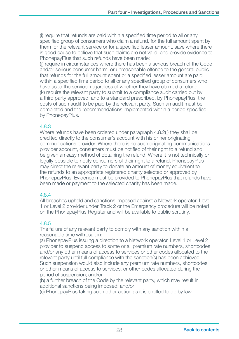(i) require that refunds are paid within a specified time period to all or any specified group of consumers who claim a refund, for the full amount spent by them for the relevant service or for a specified lesser amount, save where there is good cause to believe that such claims are not valid, and provide evidence to PhonepayPlus that such refunds have been made;

 (j) require in circumstances where there has been a serious breach of the Code and/or serious consumer harm, or unreasonable offence to the general public that refunds for the full amount spent or a specified lesser amount are paid within a specified time period to all or any specified group of consumers who have used the service, regardless of whether they have claimed a refund: (k) require the relevant party to submit to a compliance audit carried out by a third party approved, and to a standard prescribed, by PhonepayPlus, the costs of such audit to be paid by the relevant party. Such an audit must be completed and the recommendations implemented within a period specified by PhonepayPlus.

#### 4.8.3

Where refunds have been ordered under paragraph 4.8.2(i) they shall be credited directly to the consumer's account with his or her originating communications provider. Where there is no such originating communications provider account, consumers must be notified of their right to a refund and be given an easy method of obtaining the refund. Where it is not technically or legally possible to notify consumers of their right to a refund, PhonepayPlus may direct the relevant party to donate an amount of money equivalent to the refunds to an appropriate registered charity selected or approved by PhonepayPlus. Evidence must be provided to PhonepayPlus that refunds have been made or payment to the selected charity has been made.

#### 4.8.4

All breaches upheld and sanctions imposed against a Network operator, Level 1 or Level 2 provider under Track 2 or the Emergency procedure will be noted on the PhonepayPlus Register and will be available to public scrutiny.

#### 4.8.5

The failure of any relevant party to comply with any sanction within a reasonable time will result in:

 (a) PhonepayPlus issuing a direction to a Network operator, Level 1 or Level 2 provider to suspend access to some or all premium rate numbers, shortcodes and/or any other means of access to services or other codes allocated to the relevant party until full compliance with the sanction(s) has been achieved. Such suspension would also include any premium rate numbers, shortcodes or other means of access to services, or other codes allocated during the period of suspension; and/or

 (b) a further breach of the Code by the relevant party, which may result in additional sanctions being imposed; and/or

(c) PhonepayPlus taking such other action as it is entitled to do by law.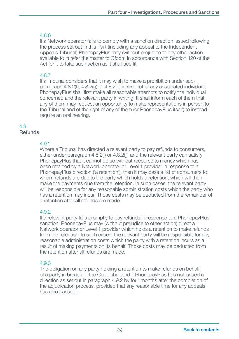# 4.8.6

If a Network operator fails to comply with a sanction direction issued following the process set out in this Part (including any appeal to the Independent Appeals Tribunal) PhonepayPlus may (without prejudice to any other action available to it) refer the matter to Ofcom in accordance with Section 120 of the Act for it to take such action as it shall see fit.

# 4.8.7

If a Tribunal considers that it may wish to make a prohibition under subparagraph 4.8.2(f), 4.8.2(g) or 4.8.2(h) in respect of any associated individual, PhonepayPlus shall first make all reasonable attempts to notify the individual concerned and the relevant party in writing. It shall inform each of them that any of them may request an opportunity to make representations in person to the Tribunal and of the right of any of them (or PhonepayPlus itself) to instead require an oral hearing.

#### 4.9 **Refunds**

# 4.9.1

Where a Tribunal has directed a relevant party to pay refunds to consumers, either under paragraph 4.8.2(i) or 4.8.2(j), and the relevant party can satisfy PhonepayPlus that it cannot do so without recourse to money which has been retained by a Network operator or Level 1 provider in response to a PhonepayPlus direction ('a retention'), then it may pass a list of consumers to whom refunds are due to the party which holds a retention, which will then make the payments due from the retention. In such cases, the relevant party will be responsible for any reasonable administration costs which the party who has a retention may incur. Those costs may be deducted from the remainder of a retention after all refunds are made.

#### 4.9.2

 If a relevant party fails promptly to pay refunds in response to a PhonepayPlus sanction, PhonepayPlus may (without prejudice to other action) direct a Network operator or Level 1 provider which holds a retention to make refunds from the retention. In such cases, the relevant party will be responsible for any reasonable administration costs which the party with a retention incurs as a result of making payments on its behalf. Those costs may be deducted from the retention after all refunds are made.

#### 4.9.3

The obligation on any party holding a retention to make refunds on behalf of a party in breach of the Code shall end if PhonepayPlus has not issued a direction as set out in paragraph 4.9.2 by four months after the completion of the adjudication process, provided that any reasonable time for any appeals has also passed.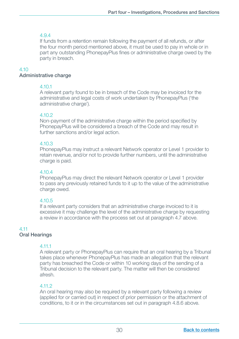# 4.9.4

If funds from a retention remain following the payment of all refunds, or after the four month period mentioned above, it must be used to pay in whole or in part any outstanding PhonepayPlus fines or administrative charge owed by the party in breach.

# 4.10

#### Administrative charge

#### 4.10.1

A relevant party found to be in breach of the Code may be invoiced for the administrative and legal costs of work undertaken by PhonepayPlus ('the administrative charge').

# 4.10.2

Non-payment of the administrative charge within the period specified by PhonepayPlus will be considered a breach of the Code and may result in further sanctions and/or legal action.

# 4.10.3

PhonepayPlus may instruct a relevant Network operator or Level 1 provider to retain revenue, and/or not to provide further numbers, until the administrative charge is paid.

# 4.10.4

PhonepayPlus may direct the relevant Network operator or Level 1 provider to pass any previously retained funds to it up to the value of the administrative charge owed.

# 4.10.5

If a relevant party considers that an administrative charge invoiced to it is excessive it may challenge the level of the administrative charge by requesting a review in accordance with the process set out at paragraph 4.7 above.

# 4.11

# Oral Hearings

#### 4.11.1

A relevant party or PhonepayPlus can require that an oral hearing by a Tribunal takes place whenever PhonepayPlus has made an allegation that the relevant party has breached the Code or within 10 working days of the sending of a Tribunal decision to the relevant party. The matter will then be considered afresh.

# 4.11.2

An oral hearing may also be required by a relevant party following a review (applied for or carried out) in respect of prior permission or the attachment of conditions, to it or in the circumstances set out in paragraph 4.8.6 above.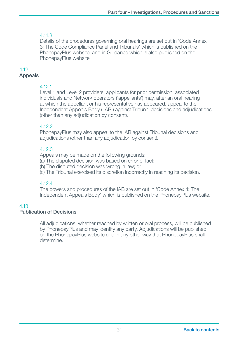# 4.11.3

Details of the procedures governing oral hearings are set out in 'Code Annex 3: The Code Compliance Panel and Tribunals' which is published on the PhonepayPlus website, and in Guidance which is also published on the PhonepayPlus website.

# 4.12

#### Appeals

# 4.12.1

Level 1 and Level 2 providers, applicants for prior permission, associated individuals and Network operators ('appellants') may, after an oral hearing at which the appellant or his representative has appeared, appeal to the Independent Appeals Body ('IAB') against Tribunal decisions and adjudications (other than any adjudication by consent).

# 4.12.2

PhonepayPlus may also appeal to the IAB against Tribunal decisions and adjudications (other than any adjudication by consent).

# 4.12.3

Appeals may be made on the following grounds:

(a) The disputed decision was based on error of fact;

- (b) The disputed decision was wrong in law; or
- (c) The Tribunal exercised its discretion incorrectly in reaching its decision.

# 4.12.4

The powers and procedures of the IAB are set out in 'Code Annex 4: The Independent Appeals Body' which is published on the PhonepayPlus website.

# 4.13

# Publication of Decisions

 All adjudications, whether reached by written or oral process, will be published by PhonepayPlus and may identify any party. Adjudications will be published on the PhonepayPlus website and in any other way that PhonepayPlus shall determine.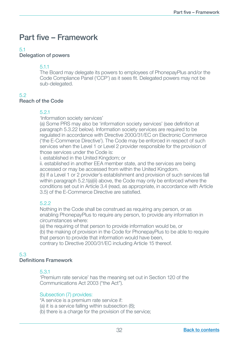# <span id="page-33-0"></span>Part five – Framework

#### 5.1

#### Delegation of powers

#### 5.1.1

The Board may delegate its powers to employees of PhonepayPlus and/or the Code Compliance Panel ('CCP') as it sees fit. Delegated powers may not be sub-delegated.

#### 5.2

# Reach of the Code

#### 5.2.1

'Information society services'

(a) Some PRS may also be 'information society services' (see definition at paragraph 5.3.22 below). Information society services are required to be regulated in accordance with Directive 2000/31/EC on Electronic Commerce ('the E-Commerce Directive'). The Code may be enforced in respect of such services when the Level 1 or Level 2 provider responsible for the provision of those services under the Code is:

i. established in the United Kingdom; or

 ii. established in another EEA member state, and the services are being accessed or may be accessed from within the United Kingdom.

 (b) If a Level 1 or 2 provider's establishment and provision of such services fall within paragraph 5.2.1(a)(ii) above, the Code may only be enforced where the conditions set out in Article 3.4 (read, as appropriate, in accordance with Article 3.5) of the E-Commerce Directive are satisfied.

# 5.2.2

Nothing in the Code shall be construed as requiring any person, or as enabling PhonepayPlus to require any person, to provide any information in circumstances where:

 (a) the requiring of that person to provide information would be, or (b) the making of provision in the Code for PhonepayPlus to be able to require that person to provide that information would have been,

contrary to Directive 2000/31/EC including Article 15 thereof.

#### 5.3

#### Definitions Framework

#### 5.3.1

'Premium rate service' has the meaning set out in Section 120 of the Communications Act 2003 ("the Act").

#### Subsection (7) provides:

"A service is a premium rate service if:

- (a) it is a service falling within subsection (8);
- (b) there is a charge for the provision of the service;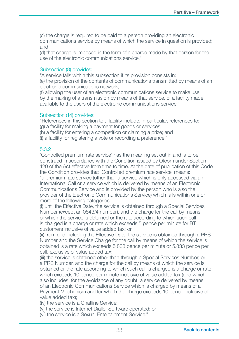(c) the charge is required to be paid to a person providing an electronic communications service by means of which the service in question is provided; and

 (d) that charge is imposed in the form of a charge made by that person for the use of the electronic communications service."

#### Subsection (8) provides:

"A service falls within this subsection if its provision consists in: (e) the provision of the contents of communications transmitted by means of an electronic communications network;

 (f) allowing the user of an electronic communications service to make use, by the making of a transmission by means of that service, of a facility made available to the users of the electronic communications service."

#### Subsection (14) provides:

"References in this section to a facility include, in particular, references to: (g) a facility for making a payment for goods or services;

(h) a facility for entering a competition or claiming a prize; and

(i) a facility for registering a vote or recording a preference."

#### 5.3.2

'Controlled premium rate service' has the meaning set out in and is to be construed in accordance with the Condition issued by Ofcom under Section 120 of the Act effective from time to time. At the date of publication of this Code the Condition provides that 'Controlled premium rate service' means: "a premium rate service (other than a service which is only accessed via an International Call or a service which is delivered by means of an Electronic Communications Service and is provided by the person who is also the provider of the Electronic Communications Service) which falls within one or more of the following categories:

(i) until the Effective Date, the service is obtained through a Special Services Number (except an 0843/4 number), and the charge for the call by means of which the service is obtained or the rate according to which such call is charged is a charge or rate which exceeds 5 pence per minute for BT customers inclusive of value added tax; or

(ii) from and including the Effective Date, the service is obtained through a PRS Number and the Service Charge for the call by means of which the service is obtained is a rate which exceeds 5.833 pence per minute or 5.833 pence per call, exclusive of value added tax;

 (iii) the service is obtained other than through a Special Services Number, or a PRS Number, and the charge for the call by means of which the service is obtained or the rate according to which such call is charged is a charge or rate which exceeds 10 pence per minute inclusive of value added tax (and which also includes, for the avoidance of any doubt, a service delivered by means of an Electronic Communications Service which is charged by means of a Payment Mechanism and for which the charge exceeds 10 pence inclusive of value added tax);

(iv) the service is a Chatline Service;

(v) the service is Internet Dialler Software operated; or

(vi) the service is a Sexual Entertainment Service."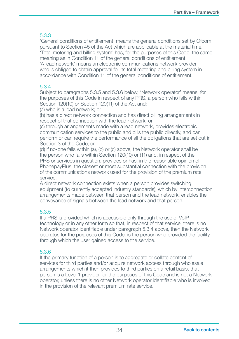'General conditions of entitlement' means the general conditions set by Ofcom pursuant to Section 45 of the Act which are applicable at the material time. 'Total metering and billing system' has, for the purposes of this Code, the same meaning as in Condition 11 of the general conditions of entitlement. 'A lead network' means an electronic communications network provider who is obliged to obtain approval for its total metering and billing system in accordance with Condition 11 of the general conditions of entitlement.

# 5.3.4

Subject to paragraphs 5.3.5 and 5.3.6 below, 'Network operator' means, for the purposes of this Code in respect of any PRS, a person who falls within Section 120(10) or Section 120(11) of the Act and:

(a) who is a lead network; or

 (b) has a direct network connection and has direct billing arrangements in respect of that connection with the lead network; or

 (c) through arrangements made with a lead network, provides electronic communication services to the public and bills the public directly, and can perform or can require the performance of all the obligations that are set out in Section 3 of the Code; or

 (d) if no-one falls within (a), (b) or (c) above, the Network operator shall be the person who falls within Section 120(10) or (11) and, in respect of the PRS or services in question, provides or has, in the reasonable opinion of PhonepayPlus, the closest or most substantial connection with the provision of the communications network used for the provision of the premium rate service.

 A direct network connection exists when a person provides switching equipment (to currently accepted industry standards), which by interconnection arrangements made between that person and the lead network, enables the conveyance of signals between the lead network and that person.

# 5.3.5

If a PRS is provided which is accessible only through the use of VoIP technology or in any other form so that, in respect of that service, there is no Network operator identifiable under paragraph 5.3.4 above, then the Network operator, for the purposes of this Code, is the person who provided the facility through which the user gained access to the service.

# 5.3.6

If the primary function of a person is to aggregate or collate content of services for third parties and/or acquire network access through wholesale arrangements which it then provides to third parties on a retail basis, that person is a Level 1 provider for the purposes of this Code and is not a Network operator, unless there is no other Network operator identifiable who is involved in the provision of the relevant premium rate service.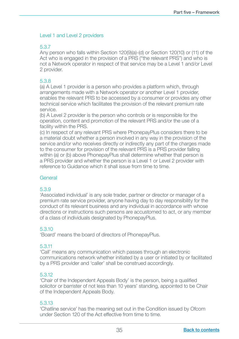#### Level 1 and Level 2 providers

# 5.3.7

Any person who falls within Section 120(9)(a)-(d) or Section 120(10) or (11) of the Act who is engaged in the provision of a PRS ("the relevant PRS") and who is not a Network operator in respect of that service may be a Level 1 and/or Level 2 provider.

#### 5.3.8

(a) A Level 1 provider is a person who provides a platform which, through arrangements made with a Network operator or another Level 1 provider, enables the relevant PRS to be accessed by a consumer or provides any other technical service which facilitates the provision of the relevant premium rate service.

 (b) A Level 2 provider is the person who controls or is responsible for the operation, content and promotion of the relevant PRS and/or the use of a facility within the PRS.

 (c) In respect of any relevant PRS where PhonepayPlus considers there to be a material doubt whether a person involved in any way in the provision of the service and/or who receives directly or indirectly any part of the charges made to the consumer for provision of the relevant PRS is a PRS provider falling within (a) or (b) above PhonepayPlus shall determine whether that person is a PRS provider and whether the person is a Level 1 or Level 2 provider with reference to Guidance which it shall issue from time to time.

#### General

#### 5.3.9

'Associated individual' is any sole trader, partner or director or manager of a premium rate service provider, anyone having day to day responsibility for the conduct of its relevant business and any individual in accordance with whose directions or instructions such persons are accustomed to act, or any member of a class of individuals designated by PhonepayPlus.

#### 5.3.10

'Board' means the board of directors of PhonepayPlus.

# 5.3.11

'Call' means any communication which passes through an electronic communications network whether initiated by a user or initiated by or facilitated by a PRS provider and 'caller' shall be construed accordingly.

#### 5.3.12

'Chair of the Independent Appeals Body' is the person, being a qualified solicitor or barrister of not less than 10 years' standing, appointed to be Chair of the Independent Appeals Body.

#### 5.3.13

'Chatline service' has the meaning set out in the Condition issued by Ofcom under Section 120 of the Act effective from time to time.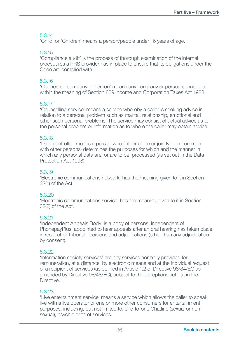'Child' or 'Children' means a person/people under 16 years of age.

#### 5.3.15

'Compliance audit' is the process of thorough examination of the internal procedures a PRS provider has in place to ensure that its obligations under the Code are complied with.

#### 5.3.16

'Connected company or person' means any company or person connected within the meaning of Section 839 Income and Corporation Taxes Act 1988.

# 5.3.17

'Counselling service' means a service whereby a caller is seeking advice in relation to a personal problem such as marital, relationship, emotional and other such personal problems. The service may consist of actual advice as to the personal problem or information as to where the caller may obtain advice.

# 5.3.18

'Data controller' means a person who (either alone or jointly or in common with other persons) determines the purposes for which and the manner in which any personal data are, or are to be, processed (as set out in the Data Protection Act 1998).

#### 5.3.19

'Electronic communications network' has the meaning given to it in Section 32(1) of the Act.

#### 5.3.20

'Electronic communications service' has the meaning given to it in Section 32(2) of the Act.

#### 5.3.21

'Independent Appeals Body' is a body of persons, independent of PhonepayPlus, appointed to hear appeals after an oral hearing has taken place in respect of Tribunal decisions and adjudications (other than any adjudication by consent).

#### 5.3.22

'Information society services' are any services normally provided for remuneration, at a distance, by electronic means and at the individual request of a recipient of services (as defined in Article 1.2 of Directive 98/34/EC as amended by Directive 98/48/EC), subject to the exceptions set out in the Directive.

# 5.3.23

'Live entertainment service' means a service which allows the caller to speak live with a live operator or one or more other consumers for entertainment purposes, including, but not limited to, one-to-one Chatline (sexual or nonsexual), psychic or tarot services.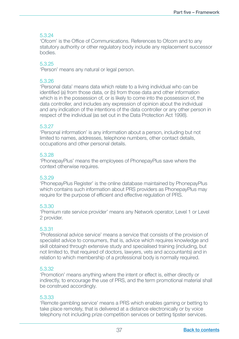'Ofcom' is the Office of Communications. References to Ofcom and to any statutory authority or other regulatory body include any replacement successor bodies.

#### 5.3.25

'Person' means any natural or legal person.

#### 5.3.26

'Personal data' means data which relate to a living individual who can be identified (a) from those data, or (b) from those data and other information which is in the possession of, or is likely to come into the possession of, the data controller, and includes any expression of opinion about the individual and any indication of the intentions of the data controller or any other person in respect of the individual (as set out in the Data Protection Act 1998).

#### 5.3.27

'Personal information' is any information about a person, including but not limited to names, addresses, telephone numbers, other contact details, occupations and other personal details.

#### 5.3.28

'PhonepayPlus' means the employees of PhonepayPlus save where the context otherwise requires.

#### 5.3.29

'PhonepayPlus Register' is the online database maintained by PhonepayPlus which contains such information about PRS providers as PhonepayPlus may require for the purpose of efficient and effective regulation of PRS.

#### 5.3.30

'Premium rate service provider' means any Network operator, Level 1 or Level 2 provider.

#### 5.3.31

'Professional advice service' means a service that consists of the provision of specialist advice to consumers, that is, advice which requires knowledge and skill obtained through extensive study and specialised training (including, but not limited to, that required of doctors, lawyers, vets and accountants) and in relation to which membership of a professional body is normally required.

#### 5.3.32

'Promotion' means anything where the intent or effect is, either directly or indirectly, to encourage the use of PRS, and the term promotional material shall be construed accordingly.

#### 5.3.33

'Remote gambling service' means a PRS which enables gaming or betting to take place remotely, that is delivered at a distance electronically or by voice telephony not including prize competition services or betting tipster services.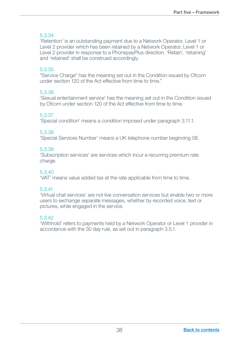'Retention' is an outstanding payment due to a Network Operator, Level 1 or Level 2 provider which has been retained by a Network Operator, Level 1 or Level 2 provider in response to a PhonepayPlus direction. 'Retain', 'retaining' and 'retained' shall be construed accordingly.

#### 5.3.35

"Service Charge" has the meaning set out in the Condition issued by Ofcom under section 120 of the Act effective from time to time."

#### 5.3.36

'Sexual entertainment service' has the meaning set out in the Condition issued by Ofcom under section 120 of the Act effective from time to time.

# 5.3.37

'Special condition' means a condition imposed under paragraph 3.11.1.

#### 5.3.38

'Special Services Number' means a UK telephone number beginning 08.

#### 5.3.39

'Subscription services' are services which incur a recurring premium rate charge.

#### 5.3.40

'VAT' means value added tax at the rate applicable from time to time.

#### 5.3.41

'Virtual chat services' are not live conversation services but enable two or more users to exchange separate messages, whether by recorded voice, text or pictures, while engaged in the service.

#### 5.3.42

'Withhold' refers to payments held by a Network Operator or Level 1 provider in accordance with the 30 day rule, as set out in paragraph 3.5.1.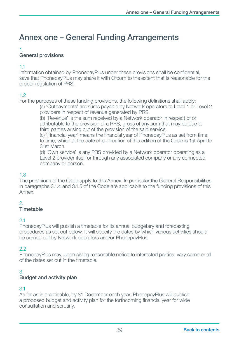# <span id="page-40-0"></span>Annex one – General Funding Arrangements

#### 1.

# General provisions

#### 1.1

Information obtained by PhonepayPlus under these provisions shall be confidential, save that PhonepayPlus may share it with Ofcom to the extent that is reasonable for the proper regulation of PRS.

# 1.2

For the purposes of these funding provisions, the following definitions shall apply:

 (a) 'Outpayments' are sums payable by Network operators to Level 1 or Level 2 providers in respect of revenue generated by PRS.

 (b) 'Revenue' is the sum received by a Network operator in respect of or attributable to the provision of a PRS, gross of any sum that may be due to third parties arising out of the provision of the said service.

(c) 'Financial year' means the financial year of PhonepayPlus as set from time to time, which at the date of publication of this edition of the Code is 1st April to 31st March.

 (d) 'Own service' is any PRS provided by a Network operator operating as a Level 2 provider itself or through any associated company or any connected company or person.

# 1.3

The provisions of the Code apply to this Annex. In particular the General Responsibilities in paragraphs 3.1.4 and 3.1.5 of the Code are applicable to the funding provisions of this Annex.

# $\overline{2}$

# Timetable

#### 2.1

PhonepayPlus will publish a timetable for its annual budgetary and forecasting procedures as set out below. It will specify the dates by which various activities should be carried out by Network operators and/or PhonepayPlus.

# 2.2

PhonepayPlus may, upon giving reasonable notice to interested parties, vary some or all of the dates set out in the timetable.

# 3.

#### Budget and activity plan

# 3.1

As far as is practicable, by 31 December each year, PhonepayPlus will publish a proposed budget and activity plan for the forthcoming financial year for wide consultation and scrutiny.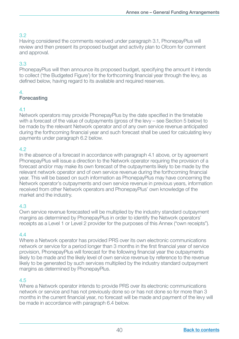Having considered the comments received under paragraph 3.1, PhonepayPlus will review and then present its proposed budget and activity plan to Ofcom for comment and approval.

# 3.3

PhonepayPlus will then announce its proposed budget, specifying the amount it intends to collect ('the Budgeted Figure') for the forthcoming financial year through the levy, as defined below, having regard to its available and required reserves.

# 4.

# Forecasting

# 4.1

Network operators may provide PhonepayPlus by the date specified in the timetable with a forecast of the value of outpayments (gross of the levy – see Section 5 below) to be made by the relevant Network operator and of any own service revenue anticipated during the forthcoming financial year and such forecast shall be used for calculating levy payments under paragraph 6.2 below.

# 4.2

In the absence of a forecast in accordance with paragraph 4.1 above, or by agreement PhonepayPlus will issue a direction to the Network operator requiring the provision of a forecast and/or may make its own forecast of the outpayments likely to be made by the relevant network operator and of own service revenue during the forthcoming financial year. This will be based on such information as PhonepayPlus may have concerning the Network operator's outpayments and own service revenue in previous years, information received from other Network operators and PhonepayPlus' own knowledge of the market and the industry.

# 4.3

Own service revenue forecasted will be multiplied by the industry standard outpayment margins as determined by PhonepayPlus in order to identify the Network operators' receipts as a Level 1 or Level 2 provider for the purposes of this Annex ("own receipts").

# $\overline{44}$

Where a Network operator has provided PRS over its own electronic communications network or service for a period longer than 3 months in the first financial year of service provision, PhonepayPlus will forecast for the following financial year the outpayments likely to be made and the likely level of own service revenue by reference to the revenue likely to be generated by such services multiplied by the industry standard outpayment margins as determined by PhonepayPlus.

# 4.5

Where a Network operator intends to provide PRS over its electronic communications network or service and has not previously done so or has not done so for more than 3 months in the current financial year, no forecast will be made and payment of the levy will be made in accordance with paragraph 6.4 below.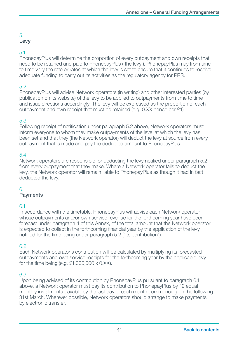# Levy

# 5.1

PhonepayPlus will determine the proportion of every outpayment and own receipts that need to be retained and paid to PhonepayPlus ('the levy'). PhonepayPlus may from time to time vary the rate or rates at which the levy is set to ensure that it continues to receive adequate funding to carry out its activities as the regulatory agency for PRS.

# 5.2

PhonepayPlus will advise Network operators (in writing) and other interested parties (by publication on its website) of the levy to be applied to outpayments from time to time and issue directions accordingly. The levy will be expressed as the proportion of each outpayment and own receipt that must be retained (e.g. 0.XX pence per £1).

# 5.3

Following receipt of notification under paragraph 5.2 above, Network operators must inform everyone to whom they make outpayments of the level at which the levy has been set and that they (the Network operator) will deduct the levy at source from every outpayment that is made and pay the deducted amount to PhonepayPlus.

# 5.4

Network operators are responsible for deducting the levy notified under paragraph 5.2 from every outpayment that they make. Where a Network operator fails to deduct the levy, the Network operator will remain liable to PhonepayPlus as though it had in fact deducted the levy.

#### 6.

#### **Payments**

#### 61

In accordance with the timetable, PhonepayPlus will advise each Network operator whose outpayments and/or own service revenue for the forthcoming year have been forecast under paragraph 4 of this Annex, of the total amount that the Network operator is expected to collect in the forthcoming financial year by the application of the levy notified for the time being under paragraph 5.2 ("its contribution").

# 6.2

Each Network operator's contribution will be calculated by multiplying its forecasted outpayments and own service receipts for the forthcoming year by the applicable levy for the time being (e.g.  $£1,000,000 \times 0.XX$ ).

# 6.3

Upon being advised of its contribution by PhonepayPlus pursuant to paragraph 6.1 above, a Network operator must pay its contribution to PhonepayPlus by 12 equal monthly instalments payable by the last day of each month commencing on the following 31st March. Wherever possible, Network operators should arrange to make payments by electronic transfer.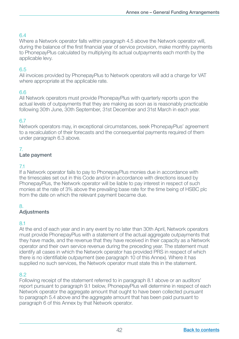Where a Network operator falls within paragraph 4.5 above the Network operator will, during the balance of the first financial year of service provision, make monthly payments to PhonepayPlus calculated by multiplying its actual outpayments each month by the applicable levy.

# 6.5

All invoices provided by PhonepayPlus to Network operators will add a charge for VAT where appropriate at the applicable rate.

# 6.6

All Network operators must provide PhonepayPlus with quarterly reports upon the actual levels of outpayments that they are making as soon as is reasonably practicable following 30th June, 30th September, 31st December and 31st March in each year.

# 6.7

Network operators may, in exceptional circumstances, seek PhonepayPlus' agreement to a recalculation of their forecasts and the consequential payments required of them under paragraph 6.3 above.

# 7.

#### Late payment

# 7.1

If a Network operator fails to pay to PhonepayPlus monies due in accordance with the timescales set out in this Code and/or in accordance with directions issued by PhonepayPlus, the Network operator will be liable to pay interest in respect of such monies at the rate of 3% above the prevailing base rate for the time being of HSBC plc from the date on which the relevant payment became due.

# 8.

# Adjustments

#### 8.1

At the end of each year and in any event by no later than 30th April, Network operators must provide PhonepayPlus with a statement of the actual aggregate outpayments that they have made, and the revenue that they have received in their capacity as a Network operator and their own service revenue during the preceding year. The statement must identify all cases in which the Network operator has provided PRS in respect of which there is no identifiable outpayment (see paragraph 10 of this Annex). Where it has supplied no such services, the Network operator must state this in the statement.

#### 8.2

Following receipt of the statement referred to in paragraph 8.1 above or an auditors' report pursuant to paragraph 9.1 below, PhonepayPlus will determine in respect of each Network operator the aggregate amount that ought to have been collected pursuant to paragraph 5.4 above and the aggregate amount that has been paid pursuant to paragraph 6 of this Annex by that Network operator.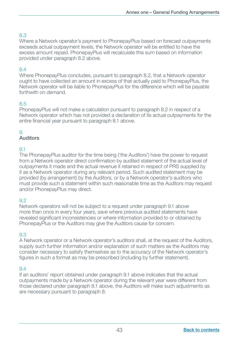Where a Network operator's payment to PhonepayPlus based on forecast outpayments exceeds actual outpayment levels, the Network operator will be entitled to have the excess amount repaid. PhonepayPlus will recalculate this sum based on information provided under paragraph 8.2 above.

# 8.4

Where PhonepayPlus concludes, pursuant to paragraph 8.2, that a Network operator ought to have collected an amount in excess of that actually paid to PhonepayPlus, the Network operator will be liable to PhonepayPlus for the difference which will be payable forthwith on demand.

# 8.5

PhonepayPlus will not make a calculation pursuant to paragraph 8.2 in respect of a Network operator which has not provided a declaration of its actual outpayments for the entire financial year pursuant to paragraph 8.1 above.

# 9.

# Auditors

# 9.1

The PhonepayPlus auditor for the time being ('the Auditors') have the power to request from a Network operator direct confirmation by audited statement of the actual level of outpayments it made and the actual revenue it retained in respect of PRS supplied by it as a Network operator during any relevant period. Such audited statement may be provided (by arrangement) by the Auditors, or by a Network operator's auditors who must provide such a statement within such reasonable time as the Auditors may request and/or PhonepayPlus may direct.

# 9.2

Network operators will not be subject to a request under paragraph 9.1 above more than once in every four years, save where previous audited statements have revealed significant inconsistencies or where information provided to or obtained by PhonepayPlus or the Auditors may give the Auditors cause for concern.

# 9.3

A Network operator or a Network operator's auditors shall, at the request of the Auditors, supply such further information and/or explanation of such matters as the Auditors may consider necessary to satisfy themselves as to the accuracy of the Network operator's figures in such a format as may be prescribed (including by further statement).

# 9.4

If an auditors' report obtained under paragraph 9.1 above indicates that the actual outpayments made by a Network operator during the relevant year were different from those declared under paragraph 8.1 above, the Auditors will make such adjustments as are necessary pursuant to paragraph 8.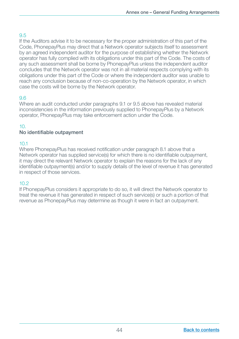If the Auditors advise it to be necessary for the proper administration of this part of the Code, PhonepayPlus may direct that a Network operator subjects itself to assessment by an agreed independent auditor for the purpose of establishing whether the Network operator has fully complied with its obligations under this part of the Code. The costs of any such assessment shall be borne by PhonepayPlus unless the independent auditor concludes that the Network operator was not in all material respects complying with its obligations under this part of the Code or where the independent auditor was unable to reach any conclusion because of non-co-operation by the Network operator, in which case the costs will be borne by the Network operator.

# 9.6

Where an audit conducted under paragraphs 9.1 or 9.5 above has revealed material inconsistencies in the information previously supplied to PhonepayPlus by a Network operator, PhonepayPlus may take enforcement action under the Code.

# 10.

# No identifiable outpayment

# 10.1

Where PhonepayPlus has received notification under paragraph 8.1 above that a Network operator has supplied service(s) for which there is no identifiable outpayment, it may direct the relevant Network operator to explain the reasons for the lack of any identifiable outpayment(s) and/or to supply details of the level of revenue it has generated in respect of those services.

# 10.2

If PhonepayPlus considers it appropriate to do so, it will direct the Network operator to treat the revenue it has generated in respect of such service(s) or such a portion of that revenue as PhonepayPlus may determine as though it were in fact an outpayment.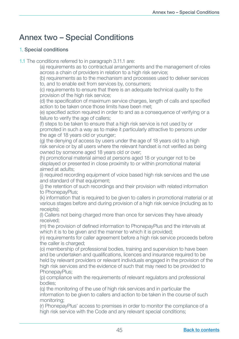# <span id="page-46-0"></span>Annex two – Special Conditions

#### 1. Special conditions

1.1 The conditions referred to in paragraph 3.11.1 are:

 (a) requirements as to contractual arrangements and the management of roles across a chain of providers in relation to a high risk service;

 (b) requirements as to the mechanism and processes used to deliver services to, and to enable exit from services by, consumers;

 (c) requirements to ensure that there is an adequate technical quality to the provision of the high risk service;

(d) the specification of maximum service charges, length of calls and specified action to be taken once those limits have been met;

(e) specified action required in order to and as a consequence of verifying or a failure to verify the age of callers;

 (f) steps to be taken to ensure that a high risk service is not used by or promoted in such a way as to make it particularly attractive to persons under the age of 18 years old or younger;

 (g) the denying of access by users under the age of 18 years old to a high risk service or by all users where the relevant handset is not verified as being owned by someone aged 18 years old or over;

 (h) promotional material aimed at persons aged 18 or younger not to be displayed or presented in close proximity to or within promotional material aimed at adults;

 (i) required recording equipment of voice based high risk services and the use and standard of that equipment:

 (j) the retention of such recordings and their provision with related information to PhonepayPlus;

(k) information that is required to be given to callers in promotional material or at various stages before and during provision of a high risk service (including as to receipts);

 (l) Callers not being charged more than once for services they have already received;

(m) the provision of defined information to PhonepayPlus and the intervals at which it is to be given and the manner to which it is provided:

 (n) requirements for caller agreement before a high risk service proceeds before the caller is charged:

 (o) membership of professional bodies, training and supervision to have been and be undertaken and qualifications, licences and insurance required to be held by relevant providers or relevant individuals engaged in the provision of the high risk services and the evidence of such that may need to be provided to PhonepayPlus;

 (p) compliance with the requirements of relevant regulators and professional bodies;

 (q) the monitoring of the use of high risk services and in particular the information to be given to callers and action to be taken in the course of such monitoring;

 (r) PhonepayPlus' access to premises in order to monitor the compliance of a high risk service with the Code and any relevant special conditions;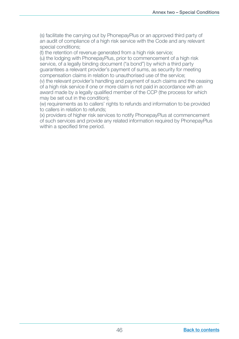(s) facilitate the carrying out by PhonepayPlus or an approved third party of an audit of compliance of a high risk service with the Code and any relevant special conditions;

(t) the retention of revenue generated from a high risk service;

 (u) the lodging with PhonepayPlus, prior to commencement of a high risk service, of a legally binding document ("a bond") by which a third party guarantees a relevant provider's payment of sums, as security for meeting compensation claims in relation to unauthorised use of the service;

 (v) the relevant provider's handling and payment of such claims and the ceasing of a high risk service if one or more claim is not paid in accordance with an award made by a legally qualified member of the CCP (the process for which may be set out in the condition);

 (w) requirements as to callers' rights to refunds and information to be provided to callers in relation to refunds;

 (x) providers of higher risk services to notify PhonepayPlus at commencement of such services and provide any related information required by PhonepayPlus within a specified time period.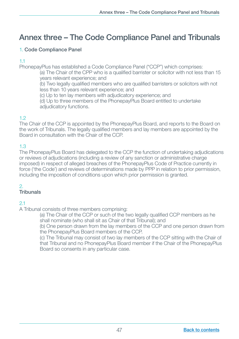# <span id="page-48-0"></span>Annex three – The Code Compliance Panel and Tribunals

# 1. Code Compliance Panel

# 1.1

PhonepayPlus has established a Code Compliance Panel ("CCP") which comprises:

(a) The Chair of the CPP who is a qualified barrister or solicitor with not less than 15 years relevant experience; and

(b) Two legally qualified members who are qualified barristers or solicitors with not less than 10 years relevant experience; and

(c) Up to ten lay members with adjudicatory experience; and

 (d) Up to three members of the PhonepayPlus Board entitled to undertake adjudicatory functions.

# 1.2

The Chair of the CCP is appointed by the PhonepayPlus Board, and reports to the Board on the work of Tribunals. The legally qualified members and lay members are appointed by the Board in consultation with the Chair of the CCP.

# 1.3

The PhonepayPlus Board has delegated to the CCP the function of undertaking adjudications or reviews of adjudications (including a review of any sanction or administrative charge imposed) in respect of alleged breaches of the PhonepayPlus Code of Practice currently in force ('the Code') and reviews of determinations made by PPP in relation to prior permission, including the imposition of conditions upon which prior permission is granted.

#### 2. **Tribunals**

# 2.1

A Tribunal consists of three members comprising:

(a) The Chair of the CCP or such of the two legally qualified CCP members as he shall nominate (who shall sit as Chair of that Tribunal); and

 (b) One person drawn from the lay members of the CCP and one person drawn from the PhonepayPlus Board members of the CCP.

 (c) The Tribunal may consist of two lay members of the CCP sitting with the Chair of that Tribunal and no PhonepayPlus Board member if the Chair of the PhonepayPlus Board so consents in any particular case.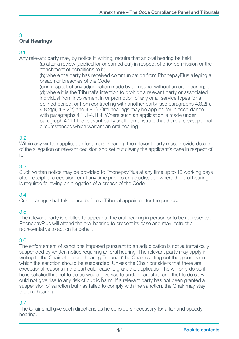# 3. Oral Hearings

# 3.1

Any relevant party may, by notice in writing, require that an oral hearing be held:

 (a) after a review (applied for or carried out) in respect of prior permission or the attachment of conditions to it;

 (b) where the party has received communication from PhonepayPlus alleging a breach or breaches of the Code

 (c) in respect of any adjudication made by a Tribunal without an oral hearing; or (d) where it is the Tribunal's intention to prohibit a relevant party or associated individual from involvement in or promotion of any or all service types for a defined period, or from contracting with another party (see paragraphs 4.8.2(f), 4.8.2(g), 4.8.2(h) and 4.8.6). Oral hearings may be applied for in accordance with paragraphs 4.11.1-4.11.4. Where such an application is made under paragraph 4.11.1 the relevant party shall demonstrate that there are exceptional circumstances which warrant an oral hearing

# 3.2

Within any written application for an oral hearing, the relevant party must provide details of the allegation or relevant decision and set out clearly the applicant's case in respect of it.

# 3.3

Such written notice may be provided to PhonepayPlus at any time up to 10 working days after receipt of a decision, or at any time prior to an adjudication where the oral hearing is required following an allegation of a breach of the Code.

# 3.4

Oral hearings shall take place before a Tribunal appointed for the purpose.

# 3.5

The relevant party is entitled to appear at the oral hearing in person or to be represented. PhonepayPlus will attend the oral hearing to present its case and may instruct a representative to act on its behalf.

# 3.6

The enforcement of sanctions imposed pursuant to an adjudication is not automatically suspended by written notice requiring an oral hearing. The relevant party may apply in writing to the Chair of the oral hearing Tribunal ('the Chair') setting out the grounds on which the sanction should be suspended. Unless the Chair considers that there are exceptional reasons in the particular case to grant the application, he will only do so if he is satisfiedthat not to do so would give rise to undue hardship, and that to do so w ould not give rise to any risk of public harm. If a relevant party has not been granted a suspension of sanction but has failed to comply with the sanction, the Chair may stay the oral hearing.

# 3.7

The Chair shall give such directions as he considers necessary for a fair and speedy hearing.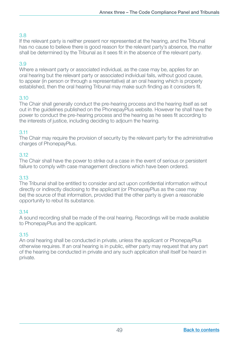If the relevant party is neither present nor represented at the hearing, and the Tribunal has no cause to believe there is good reason for the relevant party's absence, the matter shall be determined by the Tribunal as it sees fit in the absence of the relevant party.

# 3.9

Where a relevant party or associated individual, as the case may be, applies for an oral hearing but the relevant party or associated individual fails, without good cause, to appear (in person or through a representative) at an oral hearing which is properly established, then the oral hearing Tribunal may make such finding as it considers fit.

# 3.10

The Chair shall generally conduct the pre-hearing process and the hearing itself as set out in the guidelines published on the PhonepayPlus website. However he shall have the power to conduct the pre-hearing process and the hearing as he sees fit according to the interests of justice, including deciding to adjourn the hearing.

#### 3.11

The Chair may require the provision of security by the relevant party for the administrative charges of PhonepayPlus.

#### 3.12

The Chair shall have the power to strike out a case in the event of serious or persistent failure to comply with case management directions which have been ordered.

#### 3.13

The Tribunal shall be entitled to consider and act upon confidential information without directly or indirectly disclosing to the applicant (or PhonepayPlus as the case may be) the source of that information, provided that the other party is given a reasonable opportunity to rebut its substance.

#### 3.14

A sound recording shall be made of the oral hearing. Recordings will be made available to PhonepayPlus and the applicant.

#### 3.15

An oral hearing shall be conducted in private, unless the applicant or PhonepayPlus otherwise requires. If an oral hearing is in public, either party may request that any part of the hearing be conducted in private and any such application shall itself be heard in private.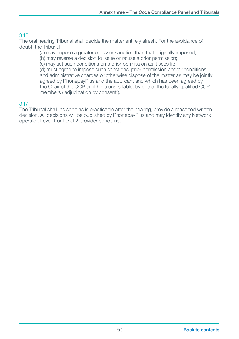The oral hearing Tribunal shall decide the matter entirely afresh. For the avoidance of doubt, the Tribunal:

(a) may impose a greater or lesser sanction than that originally imposed;

(b) may reverse a decision to issue or refuse a prior permission;

(c) may set such conditions on a prior permission as it sees fit;

 (d) must agree to impose such sanctions, prior permission and/or conditions, and administrative charges or otherwise dispose of the matter as may be jointly agreed by PhonepayPlus and the applicant and which has been agreed by the Chair of the CCP or, if he is unavailable, by one of the legally qualified CCP members ('adjudication by consent').

# 3.17

The Tribunal shall, as soon as is practicable after the hearing, provide a reasoned written decision. All decisions will be published by PhonepayPlus and may identify any Network operator, Level 1 or Level 2 provider concerned.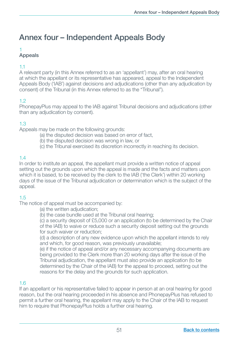# <span id="page-52-0"></span>Annex four – Independent Appeals Body

# 1

# Appeals

# 1.1

A relevant party (in this Annex referred to as an 'appellant') may, after an oral hearing at which the appellant or its representative has appeared, appeal to the Independent Appeals Body ('IAB') against decisions and adjudications (other than any adjudication by consent) of the Tribunal (in this Annex referred to as the "Tribunal").

# 1.2

PhonepayPlus may appeal to the IAB against Tribunal decisions and adjudications (other than any adjudication by consent).

# 1.3

Appeals may be made on the following grounds:

- (a) the disputed decision was based on error of fact,
- (b) the disputed decision was wrong in law, or
- (c) the Tribunal exercised its discretion incorrectly in reaching its decision.

# 1.4

In order to institute an appeal, the appellant must provide a written notice of appeal setting out the grounds upon which the appeal is made and the facts and matters upon which it is based, to be received by the clerk to the IAB ('the Clerk') within 20 working days of the issue of the Tribunal adjudication or determination which is the subject of the appeal.

# 1.5

The notice of appeal must be accompanied by:

(a) the written adjudication;

(b) the case bundle used at the Tribunal oral hearing;

 (c) a security deposit of £5,000 or an application (to be determined by the Chair of the IAB) to waive or reduce such a security deposit setting out the grounds for such waiver or reduction;

 (d) a description of any new evidence upon which the appellant intends to rely and which, for good reason, was previously unavailable;

 (e) if the notice of appeal and/or any necessary accompanying documents are being provided to the Clerk more than 20 working days after the issue of the Tribunal adjudication, the appellant must also provide an application (to be determined by the Chair of the IAB) for the appeal to proceed, setting out the reasons for the delay and the grounds for such application.

#### 1.6

If an appellant or his representative failed to appear in person at an oral hearing for good reason, but the oral hearing proceeded in his absence and PhonepayPlus has refused to permit a further oral hearing, the appellant may apply to the Chair of the IAB to request him to require that PhonepayPlus holds a further oral hearing.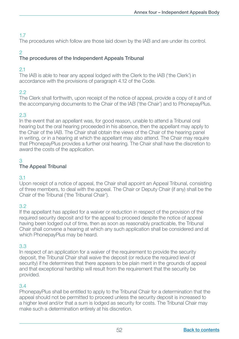The procedures which follow are those laid down by the IAB and are under its control.

# 2

# The procedures of the Independent Appeals Tribunal

# 2.1

The IAB is able to hear any appeal lodged with the Clerk to the IAB ('the Clerk') in accordance with the provisions of paragraph 4.12 of the Code.

# 2.2

The Clerk shall forthwith, upon receipt of the notice of appeal, provide a copy of it and of the accompanying documents to the Chair of the IAB ('the Chair') and to PhonepayPlus.

# 2.3

In the event that an appellant was, for good reason, unable to attend a Tribunal oral hearing but the oral hearing proceeded in his absence, then the appellant may apply to the Chair of the IAB. The Chair shall obtain the views of the Chair of the hearing panel in writing, or in a hearing at which the appellant may also attend. The Chair may require that PhonepayPlus provides a further oral hearing. The Chair shall have the discretion to award the costs of the application.

# 3

# The Appeal Tribunal

#### 3.1

Upon receipt of a notice of appeal, the Chair shall appoint an Appeal Tribunal, consisting of three members, to deal with the appeal. The Chair or Deputy Chair (if any) shall be the Chair of the Tribunal ('the Tribunal Chair').

# 3.2

If the appellant has applied for a waiver or reduction in respect of the provision of the required security deposit and for the appeal to proceed despite the notice of appeal having been lodged out of time, then as soon as reasonably practicable, the Tribunal Chair shall convene a hearing at which any such application shall be considered and at which PhonepayPlus may be heard.

# 3.3

In respect of an application for a waiver of the requirement to provide the security deposit, the Tribunal Chair shall waive the deposit (or reduce the required level of security) if he determines that there appears to be plain merit in the grounds of appeal and that exceptional hardship will result from the requirement that the security be provided.

# 3.4

PhonepayPlus shall be entitled to apply to the Tribunal Chair for a determination that the appeal should not be permitted to proceed unless the security deposit is increased to a higher level and/or that a sum is lodged as security for costs. The Tribunal Chair may make such a determination entirely at his discretion.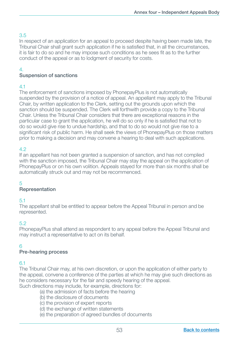In respect of an application for an appeal to proceed despite having been made late, the Tribunal Chair shall grant such application if he is satisfied that, in all the circumstances, it is fair to do so and he may impose such conditions as he sees fit as to the further conduct of the appeal or as to lodgment of security for costs.

# 4.

# Suspension of sanctions

# 4.1

The enforcement of sanctions imposed by PhonepayPlus is not automatically suspended by the provision of a notice of appeal. An appellant may apply to the Tribunal Chair, by written application to the Clerk, setting out the grounds upon which the sanction should be suspended. The Clerk will forthwith provide a copy to the Tribunal Chair. Unless the Tribunal Chair considers that there are exceptional reasons in the particular case to grant the application, he will do so only if he is satisfied that not to do so would give rise to undue hardship, and that to do so would not give rise to a significant risk of public harm. He shall seek the views of PhonepayPlus on those matters prior to making a decision and may convene a hearing to deal with such applications.

# 4.2

If an appellant has not been granted a suspension of sanction, and has not complied with the sanction imposed, the Tribunal Chair may stay the appeal on the application of PhonepayPlus or on his own volition. Appeals stayed for more than six months shall be automatically struck out and may not be recommenced.

# 5

# Representation

# 5.1

The appellant shall be entitled to appear before the Appeal Tribunal in person and be represented.

# 5.2

PhonepayPlus shall attend as respondent to any appeal before the Appeal Tribunal and may instruct a representative to act on its behalf.

# 6

# Pre-hearing process

#### 6.1

The Tribunal Chair may, at his own discretion, or upon the application of either party to the appeal, convene a conference of the parties at which he may give such directions as he considers necessary for the fair and speedy hearing of the appeal. Such directions may include, for example, directions for:

(a) the admission of facts before the hearing

- (b) the disclosure of documents
- (c) the provision of expert reports
- (d) the exchange of written statements
- (e) the preparation of agreed bundles of documents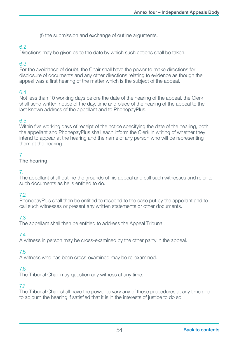(f) the submission and exchange of outline arguments.

# 6.2

Directions may be given as to the date by which such actions shall be taken.

# 6.3

For the avoidance of doubt, the Chair shall have the power to make directions for disclosure of documents and any other directions relating to evidence as though the appeal was a first hearing of the matter which is the subject of the appeal.

# 6.4

Not less than 10 working days before the date of the hearing of the appeal, the Clerk shall send written notice of the day, time and place of the hearing of the appeal to the last known address of the appellant and to PhonepayPlus.

# 6.5

Within five working days of receipt of the notice specifying the date of the hearing, both the appellant and PhonepayPlus shall each inform the Clerk in writing of whether they intend to appear at the hearing and the name of any person who will be representing them at the hearing.

# 7

# The hearing

# 7.1

The appellant shall outline the grounds of his appeal and call such witnesses and refer to such documents as he is entitled to do.

# 7.2

PhonepayPlus shall then be entitled to respond to the case put by the appellant and to call such witnesses or present any written statements or other documents.

# 7.3

The appellant shall then be entitled to address the Appeal Tribunal.

# 7.4

A witness in person may be cross-examined by the other party in the appeal.

# 7.5

A witness who has been cross-examined may be re-examined.

# 7.6

The Tribunal Chair may question any witness at any time.

#### 7.7

The Tribunal Chair shall have the power to vary any of these procedures at any time and to adjourn the hearing if satisfied that it is in the interests of justice to do so.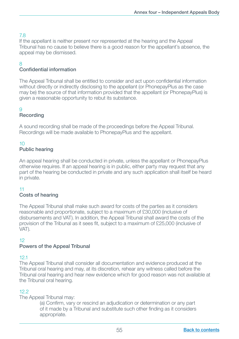If the appellant is neither present nor represented at the hearing and the Appeal Tribunal has no cause to believe there is a good reason for the appellant's absence, the appeal may be dismissed.

# 8

# Confidential information

The Appeal Tribunal shall be entitled to consider and act upon confidential information without directly or indirectly disclosing to the appellant (or PhonepayPlus as the case may be) the source of that information provided that the appellant (or PhonepayPlus) is given a reasonable opportunity to rebut its substance.

# $\alpha$

# Recording

A sound recording shall be made of the proceedings before the Appeal Tribunal. Recordings will be made available to PhonepayPlus and the appellant.

# 10

# Public hearing

An appeal hearing shall be conducted in private, unless the appellant or PhonepayPlus otherwise requires. If an appeal hearing is in public, either party may request that any part of the hearing be conducted in private and any such application shall itself be heard in private.

#### 11

#### Costs of hearing

The Appeal Tribunal shall make such award for costs of the parties as it considers reasonable and proportionate, subject to a maximum of £30,000 (inclusive of disbursements and VAT). In addition, the Appeal Tribunal shall award the costs of the provision of the Tribunal as it sees fit, subject to a maximum of £25,000 (inclusive of VAT).

#### 12

#### Powers of the Appeal Tribunal

#### 12.1

The Appeal Tribunal shall consider all documentation and evidence produced at the Tribunal oral hearing and may, at its discretion, rehear any witness called before the Tribunal oral hearing and hear new evidence which for good reason was not available at the Tribunal oral hearing.

# 12.2

The Appeal Tribunal may:

(a) Confirm, vary or rescind an adjudication or determination or any part of it made by a Tribunal and substitute such other finding as it considers appropriate.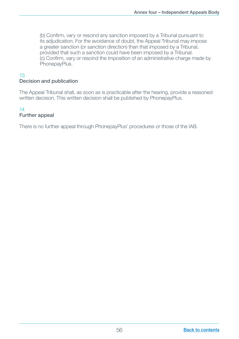(b) Confirm, vary or rescind any sanction imposed by a Tribunal pursuant to its adjudication. For the avoidance of doubt, the Appeal Tribunal may impose a greater sanction (or sanction direction) than that imposed by a Tribunal, provided that such a sanction could have been imposed by a Tribunal. (c) Confirm, vary or rescind the imposition of an administrative charge made by PhonepayPlus.

#### 13 Decision and publication

The Appeal Tribunal shall, as soon as is practicable after the hearing, provide a reasoned written decision. This written decision shall be published by PhonepayPlus.

#### 14 Further appeal

There is no further appeal through PhonepayPlus' procedures or those of the IAB.